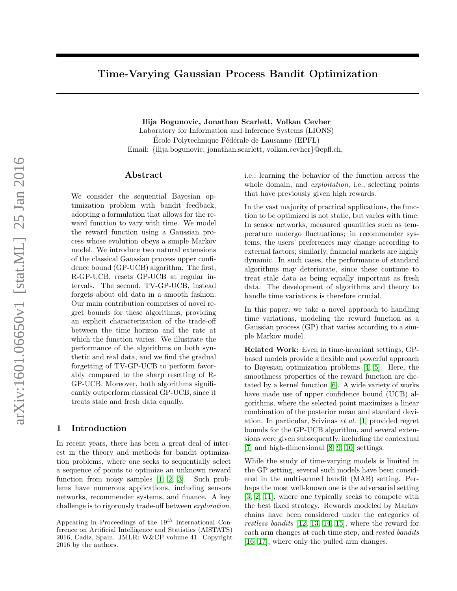# <span id="page-0-0"></span>Time-Varying Gaussian Process Bandit Optimization

Ilija Bogunovic, Jonathan Scarlett, Volkan Cevher

Laboratory for Information and Inference Systems (LIONS) École Polytechnique Fédérale de Lausanne (EPFL) Email: {ilija.bogunovic, jonathan.scarlett, volkan.cevher}@epfl.ch,

#### Abstract

We consider the sequential Bayesian optimization problem with bandit feedback, adopting a formulation that allows for the reward function to vary with time. We model the reward function using a Gaussian process whose evolution obeys a simple Markov model. We introduce two natural extensions of the classical Gaussian process upper confidence bound (GP-UCB) algorithm. The first, R-GP-UCB, resets GP-UCB at regular intervals. The second, TV-GP-UCB, instead forgets about old data in a smooth fashion. Our main contribution comprises of novel regret bounds for these algorithms, providing an explicit characterization of the trade-off between the time horizon and the rate at which the function varies. We illustrate the performance of the algorithms on both synthetic and real data, and we find the gradual forgetting of TV-GP-UCB to perform favorably compared to the sharp resetting of R-GP-UCB. Moreover, both algorithms significantly outperform classical GP-UCB, since it treats stale and fresh data equally.

#### 1 Introduction

In recent years, there has been a great deal of interest in the theory and methods for bandit optimization problems, where one seeks to sequentially select a sequence of points to optimize an unknown reward function from noisy samples [\[1,](#page-8-0) [2,](#page-8-1) [3\]](#page-8-2). Such problems have numerous applications, including sensors networks, recommender systems, and finance. A key challenge is to rigorously trade-off between exploration,

i.e., learning the behavior of the function across the whole domain, and *exploitation*, i.e., selecting points that have previously given high rewards.

In the vast majority of practical applications, the function to be optimized is not static, but varies with time: In sensor networks, measured quantities such as temperature undergo fluctuations; in recommender systems, the users' preferences may change according to external factors; similarly, financial markets are highly dynamic. In such cases, the performance of standard algorithms may deteriorate, since these continue to treat stale data as being equally important as fresh data. The development of algorithms and theory to handle time variations is therefore crucial.

In this paper, we take a novel approach to handling time variations, modeling the reward function as a Gaussian process (GP) that varies according to a simple Markov model.

Related Work: Even in time-invariant settings, GPbased models provide a flexible and powerful approach to Bayesian optimization problems [\[4,](#page-8-3) [5\]](#page-8-4). Here, the smoothness properties of the reward function are dictated by a kernel function [\[6\]](#page-8-5). A wide variety of works have made use of upper confidence bound (UCB) algorithms, where the selected point maximizes a linear combination of the posterior mean and standard deviation. In particular, Srivinas et al. [\[1\]](#page-8-0) provided regret bounds for the GP-UCB algorithm, and several extensions were given subsequently, including the contextual [\[7\]](#page-8-6) and high-dimensional [\[8,](#page-8-7) [9,](#page-8-8) [10\]](#page-8-9) settings.

While the study of time-varying models is limited in the GP setting, several such models have been considered in the multi-armed bandit (MAB) setting. Perhaps the most well-known one is the adversarial setting [\[3,](#page-8-2) [2,](#page-8-1) [11\]](#page-8-10), where one typically seeks to compete with the best fixed strategy. Rewards modeled by Markov chains have been considered under the categories of restless bandits [\[12,](#page-8-11) [13,](#page-8-12) [14,](#page-8-13) [15\]](#page-8-14), where the reward for each arm changes at each time step, and rested bandits [\[16,](#page-8-15) [17\]](#page-8-16), where only the pulled arm changes.

Appearing in Proceedings of the  $19^{th}$  International Conference on Artificial Intelligence and Statistics (AISTATS) 2016, Cadiz, Spain. JMLR: W&CP volume 41. Copyright 2016 by the authors.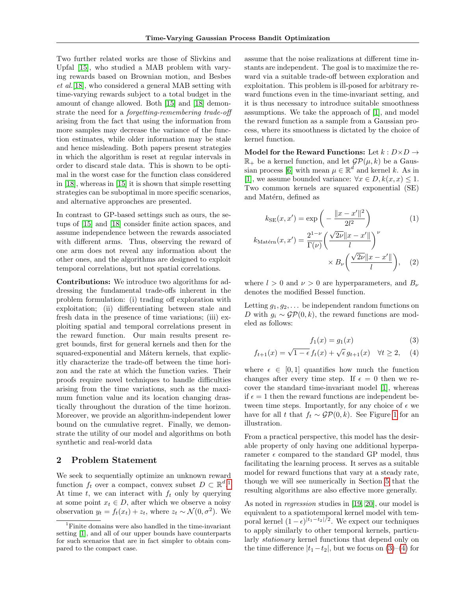Two further related works are those of Slivkins and Upfal [\[15\]](#page-8-14), who studied a MAB problem with varying rewards based on Brownian motion, and Besbes et al.[\[18\]](#page-8-17), who considered a general MAB setting with time-varying rewards subject to a total budget in the amount of change allowed. Both [\[15\]](#page-8-14) and [\[18\]](#page-8-17) demonstrate the need for a forgetting-remembering trade-off arising from the fact that using the information from more samples may decrease the variance of the function estimates, while older information may be stale and hence misleading. Both papers present strategies in which the algorithm is reset at regular intervals in order to discard stale data. This is shown to be optimal in the worst case for the function class considered in [\[18\]](#page-8-17), whereas in [\[15\]](#page-8-14) it is shown that simple resetting strategies can be suboptimal in more specific scenarios, and alternative approaches are presented.

In contrast to GP-based settings such as ours, the setups of [\[15\]](#page-8-14) and [\[18\]](#page-8-17) consider finite action spaces, and assume independence between the rewards associated with different arms. Thus, observing the reward of one arm does not reveal any information about the other ones, and the algorithms are designed to exploit temporal correlations, but not spatial correlations.

Contributions: We introduce two algorithms for addressing the fundamental trade-offs inherent in the problem formulation: (i) trading off exploration with exploitation; (ii) differentiating between stale and fresh data in the presence of time variations; (iii) exploiting spatial and temporal correlations present in the reward function. Our main results present regret bounds, first for general kernels and then for the squared-exponential and Mátern kernels, that explicitly characterize the trade-off between the time horizon and the rate at which the function varies. Their proofs require novel techniques to handle difficulties arising from the time variations, such as the maximum function value and its location changing drastically throughout the duration of the time horizon. Moreover, we provide an algorithm-independent lower bound on the cumulative regret. Finally, we demonstrate the utility of our model and algorithms on both synthetic and real-world data

# 2 Problem Statement

We seek to sequentially optimize an unknown reward function  $f_t$  over a compact, convex subset  $D \subset \mathbb{R}^{d}$ . At time t, we can interact with  $f_t$  only by querying at some point  $x_t \in D$ , after which we observe a noisy observation  $y_t = f_t(x_t) + z_t$ , where  $z_t \sim \mathcal{N}(0, \sigma^2)$ . We

assume that the noise realizations at different time instants are independent. The goal is to maximize the reward via a suitable trade-off between exploration and exploitation. This problem is ill-posed for arbitrary reward functions even in the time-invariant setting, and it is thus necessary to introduce suitable smoothness assumptions. We take the approach of [\[1\]](#page-8-0), and model the reward function as a sample from a Gaussian process, where its smoothness is dictated by the choice of kernel function.

Model for the Reward Functions: Let  $k : D \times D \rightarrow$  $\mathbb{R}_+$  be a kernel function, and let  $\mathcal{GP}(\mu, k)$  be a Gaus-sian process [\[6\]](#page-8-5) with mean  $\mu \in \mathbb{R}^d$  and kernel k. As in [\[1\]](#page-8-0), we assume bounded variance:  $\forall x \in D, k(x, x) \leq 1$ . Two common kernels are squared exponential (SE) and Matérn, defined as

$$
k_{\text{SE}}(x, x') = \exp\left(-\frac{\|x - x'\|^2}{2l^2}\right) \tag{1}
$$

$$
k_{\text{Matérn}}(x, x') = \frac{2^{1-\nu}}{\Gamma(\nu)} \left(\frac{\sqrt{2\nu} \|x - x'\|}{l}\right)^{\nu} \times B_{\nu} \left(\frac{\sqrt{2\nu} \|x - x'\|}{l}\right), \tag{2}
$$

where  $l > 0$  and  $\nu > 0$  are hyperparameters, and  $B_{\nu}$ denotes the modified Bessel function.

Letting  $g_1, g_2, \ldots$  be independent random functions on D with  $g_i \sim \mathcal{GP}(0, k)$ , the reward functions are modeled as follows:

<span id="page-1-2"></span><span id="page-1-1"></span>
$$
f_1(x) = g_1(x) \tag{3}
$$

$$
f_{t+1}(x) = \sqrt{1 - \epsilon} f_t(x) + \sqrt{\epsilon} g_{t+1}(x) \quad \forall t \ge 2, \quad (4)
$$

where  $\epsilon \in [0, 1]$  quantifies how much the function changes after every time step. If  $\epsilon = 0$  then we recover the standard time-invariant model [\[1\]](#page-8-0), whereas if  $\epsilon = 1$  then the reward functions are independent between time steps. Importantly, for any choice of  $\epsilon$  we have for all t that  $f_t \sim \mathcal{GP}(0, k)$ . See Figure [1](#page-2-0) for an illustration.

From a practical perspective, this model has the desirable property of only having one additional hyperparameter  $\epsilon$  compared to the standard GP model, thus facilitating the learning process. It serves as a suitable model for reward functions that vary at a steady rate, though we will see numerically in Section [5](#page-5-0) that the resulting algorithms are also effective more generally.

As noted in regression studies in [\[19,](#page-8-18) [20\]](#page-8-19), our model is equivalent to a spatiotemporal kernel model with temporal kernel  $(1 - \epsilon)^{|t_1 - t_2|/2}$ . We expect our techniques to apply similarly to other temporal kernels, particularly stationary kernel functions that depend only on the time difference  $|t_1-t_2|$ , but we focus on  $(3)-(4)$  $(3)-(4)$  for

<span id="page-1-0"></span><sup>&</sup>lt;sup>1</sup>Finite domains were also handled in the time-invariant setting [\[1\]](#page-8-0), and all of our upper bounds have counterparts for such scenarios that are in fact simpler to obtain compared to the compact case.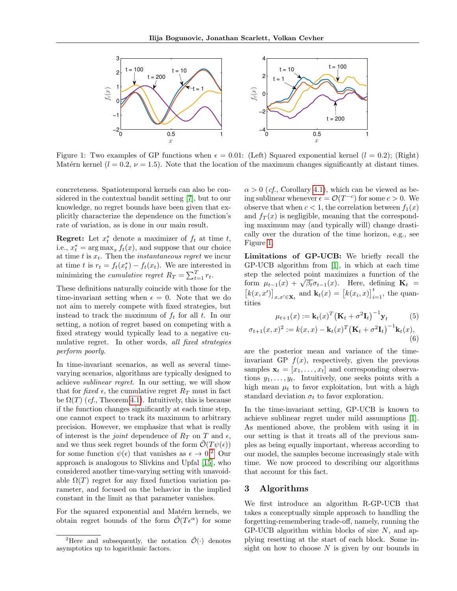<span id="page-2-0"></span>

Figure 1: Two examples of GP functions when  $\epsilon = 0.01$ : (Left) Squared exponential kernel  $(l = 0.2)$ ; (Right) Matérn kernel ( $l = 0.2$ ,  $\nu = 1.5$ ). Note that the location of the maximum changes significantly at distant times.

concreteness. Spatiotemporal kernels can also be considered in the contextual bandit setting [\[7\]](#page-8-6), but to our knowledge, no regret bounds have been given that explicitly characterize the dependence on the function's rate of variation, as is done in our main result.

**Regret:** Let  $x_t^*$  denote a maximizer of  $f_t$  at time  $t$ , i.e.,  $x_t^* = \arg \max_x f_t(x)$ , and suppose that our choice at time t is  $x_t$ . Then the *instantaneous regret* we incur at time t is  $r_t = f_t(x_t^*) - f_t(x_t)$ . We are interested in minimizing the cumulative regret  $R_T = \sum_{t=1}^T r_t$ .

These definitions naturally coincide with those for the time-invariant setting when  $\epsilon = 0$ . Note that we do not aim to merely compete with fixed strategies, but instead to track the maximum of  $f_t$  for all t. In our setting, a notion of regret based on competing with a fixed strategy would typically lead to a negative cumulative regret. In other words, all fixed strategies perform poorly.

In time-invariant scenarios, as well as several timevarying scenarios, algorithms are typically designed to achieve sublinear regret. In our setting, we will show that for fixed  $\epsilon$ , the cumulative regret  $R_T$  must in fact be  $\Omega(T)$  (*cf.*, Theorem [4.1\)](#page-4-0). Intuitively, this is because if the function changes significantly at each time step, one cannot expect to track its maximum to arbitrary precision. However, we emphasize that what is really of interest is the *joint* dependence of  $R_T$  on T and  $\epsilon$ , and we thus seek regret bounds of the form  $\tilde{\mathcal{O}}(T\psi(\epsilon))$ for some function  $\psi(\epsilon)$  that vanishes as  $\epsilon \to 0.2$  $\epsilon \to 0.2$  Our approach is analogous to Slivkins and Upfal [\[15\]](#page-8-14), who considered another time-varying setting with unavoidable  $\Omega(T)$  regret for any fixed function variation parameter, and focused on the behavior in the implied constant in the limit as that parameter vanishes.

For the squared exponential and Matérn kernels, we obtain regret bounds of the form  $\mathcal{O}(T\epsilon^{\alpha})$  for some  $\alpha > 0$  (*cf.*, Corollary [4.1\)](#page-5-1), which can be viewed as being sublinear whenever  $\epsilon = \mathcal{O}(T^{-c})$  for some  $c > 0$ . We observe that when  $c < 1$ , the correlation between  $f_1(x)$ and  $f_T(x)$  is negligible, meaning that the corresponding maximum may (and typically will) change drastically over the duration of the time horizon, e.g., see Figure [1.](#page-2-0)

Limitations of GP-UCB: We briefly recall the GP-UCB algorithm from [\[1\]](#page-8-0), in which at each time step the selected point maximizes a function of the step the selected point maximizes a function of the<br>form  $\mu_{t-1}(x) + \sqrt{\beta_t} \sigma_{t-1}(x)$ . Here, defining  $\mathbf{K}_t =$  $[k(x, x')]_{x, x' \in \mathbf{X}_t}$  and  $\mathbf{k}_t(x) = [k(x_i, x)]_{i=1}^t$ , the quantities

<span id="page-2-3"></span><span id="page-2-2"></span>
$$
\mu_{t+1}(x) := \mathbf{k}_t(x)^T \left( \mathbf{K}_t + \sigma^2 \mathbf{I}_t \right)^{-1} \mathbf{y}_t
$$
\n
$$
\sigma_{t+1}(x, x)^2 := k(x, x) - \mathbf{k}_t(x)^T \left( \mathbf{K}_t + \sigma^2 \mathbf{I}_t \right)^{-1} \mathbf{k}_t(x),
$$
\n(6)

are the posterior mean and variance of the timeinvariant GP  $f(x)$ , respectively, given the previous samples  $\mathbf{x}_t = [x_1, \ldots, x_t]$  and corresponding observations  $y_1, \ldots, y_t$ . Intuitively, one seeks points with a high mean  $\mu_t$  to favor exploitation, but with a high standard deviation  $\sigma_t$  to favor exploration.

In the time-invariant setting, GP-UCB is known to achieve sublinear regret under mild assumptions [\[1\]](#page-8-0). As mentioned above, the problem with using it in our setting is that it treats all of the previous samples as being equally important, whereas according to our model, the samples become increasingly stale with time. We now proceed to describing our algorithms that account for this fact.

### <span id="page-2-4"></span>3 Algorithms

We first introduce an algorithm R-GP-UCB that takes a conceptually simple approach to handling the forgetting-remembering trade-off, namely, running the  $GP-UCB$  algorithm within blocks of size  $N$ , and applying resetting at the start of each block. Some insight on how to choose  $N$  is given by our bounds in

<span id="page-2-1"></span><sup>&</sup>lt;sup>2</sup>Here and subsequently, the notation  $\tilde{\mathcal{O}}(\cdot)$  denotes asymptotics up to logarithmic factors.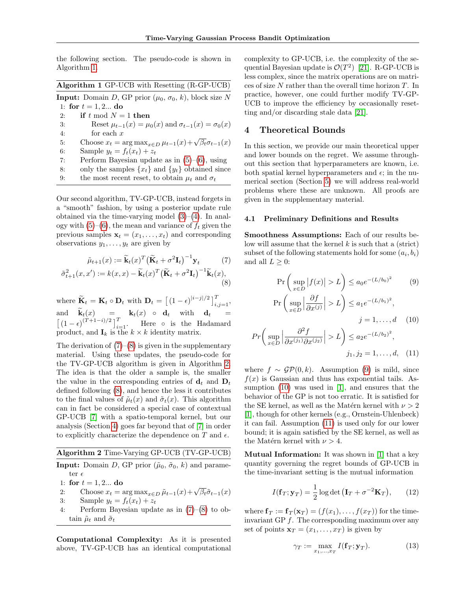the following section. The pseudo-code is shown in Algorithm [1.](#page-0-0)

| Algorithm 1 GP-UCB with Resetting (R-GP-UCB) |  |  |  |  |
|----------------------------------------------|--|--|--|--|
|----------------------------------------------|--|--|--|--|

**Input:** Domain D, GP prior  $(\mu_0, \sigma_0, k)$ , block size N 1: for  $t = 1, 2...$  do

2: if  $t \mod N = 1$  then

3: 
$$
\text{Reset } \mu_{t-1}(x) = \mu_0(x) \text{ and } \sigma_{t-1}(x) = \sigma_0(x)
$$

$$
4: \qquad \qquad \text{for each } x
$$

- 4: for each x  $x_t = \arg \max_{x \in D} \mu_{t-1}(x) + \sqrt{\beta_t} \sigma_{t-1}(x)$
- 6: Sample  $y_t = f_t(x_t) + z_t$
- 7: Perform Bayesian update as in  $(5)-(6)$  $(5)-(6)$ , using
- 8: only the samples  $\{x_t\}$  and  $\{y_t\}$  obtained since
- 9: the most recent reset, to obtain  $\mu_t$  and  $\sigma_t$

Our second algorithm, TV-GP-UCB, instead forgets in a "smooth" fashion, by using a posterior update rule obtained via the time-varying model  $(3)–(4)$  $(3)–(4)$ . In analogy with  $(5)-(6)$  $(5)-(6)$ , the mean and variance of  $f_t$  given the previous samples  $\mathbf{x}_t = (x_1, \ldots, x_t)$  and corresponding observations  $y_1, \ldots, y_t$  are given by

$$
\tilde{\mu}_{t+1}(x) := \tilde{\mathbf{k}}_t(x)^T \left( \tilde{\mathbf{K}}_t + \sigma^2 \mathbf{I}_t \right)^{-1} \mathbf{y}_t \tag{7}
$$

$$
\tilde{\sigma}_{t+1}^2(x, x') := k(x, x) - \tilde{\mathbf{k}}_t(x)^T \left( \tilde{\mathbf{K}}_t + \sigma^2 \mathbf{I}_t \right)^{-1} \tilde{\mathbf{k}}_t(x),\tag{8}
$$

where  $\widetilde{\mathbf{K}}_t = \mathbf{K}_t \circ \mathbf{D}_t$  with  $\mathbf{D}_t = \left[ (1 - \epsilon)^{|i-j|/2} \right]_{i,j=1}^T$ , and  $\mathbf{k}_t(x) = \mathbf{k}_t(x) \circ \mathbf{d}_t$  with  $\mathbf{d}_t =$  $[(1-\epsilon)^{(T+1-i)/2}]_{i=1}^T$ . Here ∘ is the Hadamard product, and  $I_k$  is the  $k \times k$  identity matrix.

The derivation of  $(7)-(8)$  $(7)-(8)$  is given in the supplementary material. Using these updates, the pseudo-code for the TV-GP-UCB algorithm is given in Algorithm [2.](#page-0-0) The idea is that the older a sample is, the smaller the value in the corresponding entries of  $\mathbf{d}_t$  and  $\mathbf{D}_t$ defined following [\(8\)](#page-3-1), and hence the less it contributes to the final values of  $\tilde{\mu}_t(x)$  and  $\tilde{\sigma}_t(x)$ . This algorithm can in fact be considered a special case of contextual GP-UCB [\[7\]](#page-8-6) with a spatio-temporal kernel, but our analysis (Section [4\)](#page-3-2) goes far beyond that of [\[7\]](#page-8-6) in order to explicitly characterize the dependence on  $T$  and  $\epsilon$ .

#### Algorithm 2 Time-Varying GP-UCB (TV-GP-UCB)

**Input:** Domain D, GP prior  $(\tilde{\mu}_0, \tilde{\sigma}_0, k)$  and parameter $\epsilon$ 

1: for 
$$
t = 1, 2...
$$
 do

- 2: Choose  $x_t = \arg \max_{x \in D} \tilde{\mu}_{t-1}(x) + \sqrt{\beta_t} \tilde{\sigma}_{t-1}(x)$
- 3: Sample  $y_t = f_t(x_t) + z_t$
- 4: Perform Bayesian update as in [\(7\)](#page-3-0)–[\(8\)](#page-3-1) to obtain  $\tilde{\mu}_t$  and  $\tilde{\sigma}_t$

Computational Complexity: As it is presented above, TV-GP-UCB has an identical computational complexity to GP-UCB, i.e. the complexity of the sequential Bayesian update is  $\mathcal{O}(T^2)$  [\[21\]](#page-8-20). R-GP-UCB is less complex, since the matrix operations are on matrices of size  $N$  rather than the overall time horizon  $T$ . In practice, however, one could further modify TV-GP-UCB to improve the efficiency by occasionally resetting and/or discarding stale data [\[21\]](#page-8-20).

#### <span id="page-3-2"></span>4 Theoretical Bounds

In this section, we provide our main theoretical upper and lower bounds on the regret. We assume throughout this section that hyperparameters are known, i.e. both spatial kernel hyperparameters and  $\epsilon$ ; in the numerical section (Section [5\)](#page-5-0) we will address real-world problems where these are unknown. All proofs are given in the supplementary material.

#### 4.1 Preliminary Definitions and Results

<span id="page-3-1"></span><span id="page-3-0"></span>Smoothness Assumptions: Each of our results below will assume that the kernel  $k$  is such that a (strict) subset of the following statements hold for some  $(a_i, b_i)$ and all  $L > 0$ :

<span id="page-3-4"></span><span id="page-3-3"></span>
$$
\Pr\left(\sup_{x\in D}|f(x)| > L\right) \le a_0 e^{-(L/b_0)^2} \tag{9}
$$

<span id="page-3-5"></span>
$$
\Pr\left(\sup_{x \in D} \left|\frac{\partial f}{\partial x^{(j)}}\right| > L\right) \le a_1 e^{-(L/b_1)^2},
$$
\n
$$
j = 1, \dots, d \quad (10)
$$

$$
Pr\left(\sup_{x \in D} \left|\frac{\partial^2 f}{\partial x^{(j_1)} \partial x^{(j_2)}}\right| > L\right) \le a_2 e^{-(L/b_2)^2},
$$
\n
$$
j_1, j_2 = 1, \dots, d, \quad (11)
$$

where  $f \sim \mathcal{GP}(0, k)$ . Assumption [\(9\)](#page-3-3) is mild, since  $f(x)$  is Gaussian and thus has exponential tails. Assumption [\(10\)](#page-3-4) was used in [\[1\]](#page-8-0), and ensures that the behavior of the GP is not too erratic. It is satisfied for the SE kernel, as well as the Matérn kernel with  $\nu > 2$ [\[1\]](#page-8-0), though for other kernels (e.g., Ornstein-Uhlenbeck) it can fail. Assumption [\(11\)](#page-3-5) is used only for our lower bound; it is again satisfied by the SE kernel, as well as the Matérn kernel with  $\nu > 4$ .

Mutual Information: It was shown in [\[1\]](#page-8-0) that a key quantity governing the regret bounds of GP-UCB in the time-invariant setting is the mutual information

$$
I(\mathbf{f}_T; \mathbf{y}_T) = \frac{1}{2} \log \det (\mathbf{I}_T + \sigma^{-2} \mathbf{K}_T), \qquad (12)
$$

where  $\mathbf{f}_T := \mathbf{f}_T(\mathbf{x}_T) = (f(x_1), \dots, f(x_T))$  for the timeinvariant GP  $f$ . The corresponding maximum over any set of points  $\mathbf{x}_T = (x_1, \ldots, x_T)$  is given by

<span id="page-3-7"></span><span id="page-3-6"></span>
$$
\gamma_T := \max_{x_1, \dots, x_T} I(\mathbf{f}_T; \mathbf{y}_T). \tag{13}
$$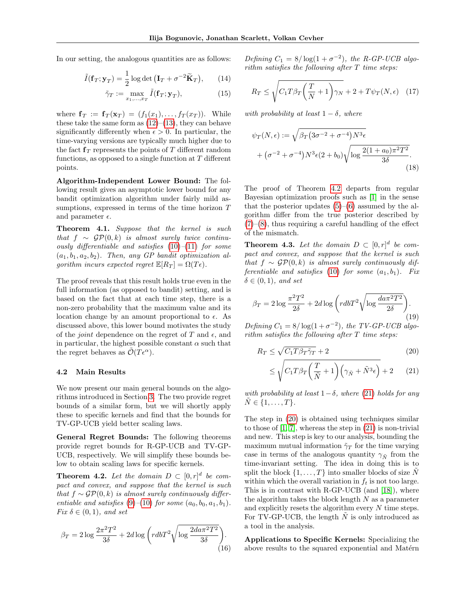In our setting, the analogous quantities are as follows:

$$
\tilde{I}(\mathbf{f}_T; \mathbf{y}_T) = \frac{1}{2} \log \det \left( \mathbf{I}_T + \sigma^{-2} \tilde{\mathbf{K}}_T \right), \qquad (14)
$$

$$
\tilde{\gamma}_T := \max_{x_1, \dots, x_T} \tilde{I}(\mathbf{f}_T; \mathbf{y}_T), \tag{15}
$$

where  $\mathbf{f}_T := \mathbf{f}_T(\mathbf{x}_T) = (f_1(x_1), \dots, f_T(x_T)).$  While these take the same form as  $(12)$ – $(13)$ , they can behave significantly differently when  $\epsilon > 0$ . In particular, the time-varying versions are typically much higher due to the fact  $f<sub>T</sub>$  represents the points of T different random functions, as opposed to a single function at  $T$  different points.

Algorithm-Independent Lower Bound: The following result gives an asymptotic lower bound for any bandit optimization algorithm under fairly mild assumptions, expressed in terms of the time horizon T and parameter  $\epsilon$ .

<span id="page-4-0"></span>Theorem 4.1. Suppose that the kernel is such that  $f \sim \mathcal{GP}(0, k)$  is almost surely twice continuously differentiable and satisfies  $(10)–(11)$  $(10)–(11)$  $(10)–(11)$  for some  $(a_1, b_1, a_2, b_2)$ . Then, any GP bandit optimization algorithm incurs expected regret  $\mathbb{E}[R_T] = \Omega(T\epsilon)$ .

The proof reveals that this result holds true even in the full information (as opposed to bandit) setting, and is based on the fact that at each time step, there is a non-zero probability that the maximum value and its location change by an amount proportional to  $\epsilon$ . As discussed above, this lower bound motivates the study of the *joint* dependence on the regret of T and  $\epsilon$ , and in particular, the highest possible constant  $\alpha$  such that the regret behaves as  $\mathcal{O}(T\epsilon^{\alpha})$ .

#### 4.2 Main Results

We now present our main general bounds on the algorithms introduced in Section [3.](#page-2-4) The two provide regret bounds of a similar form, but we will shortly apply these to specific kernels and find that the bounds for TV-GP-UCB yield better scaling laws.

General Regret Bounds: The following theorems provide regret bounds for R-GP-UCB and TV-GP-UCB, respectively. We will simplify these bounds below to obtain scaling laws for specific kernels.

<span id="page-4-1"></span>**Theorem 4.2.** Let the domain  $D \subset [0, r]^d$  be compact and convex, and suppose that the kernel is such that  $f \sim \mathcal{GP}(0, k)$  is almost surely continuously differentiable and satisfies  $(9)$ – $(10)$  for some  $(a_0, b_0, a_1, b_1)$ . Fix  $\delta \in (0,1)$ , and set

<span id="page-4-5"></span>
$$
\beta_T = 2\log \frac{2\pi^2 T^2}{3\delta} + 2d\log \left( rdbT^2 \sqrt{\log \frac{2da\pi^2 T^2}{3\delta}} \right). \tag{16}
$$

<span id="page-4-7"></span>Defining  $C_1 = 8/\log(1 + \sigma^{-2})$ , the R-GP-UCB algo $rithm\ satisfies\ the\ following\ after\ T\ time\ steps:$ 

<span id="page-4-8"></span>
$$
R_T \le \sqrt{C_1 T \beta_T \left(\frac{T}{N} + 1\right) \gamma_N} + 2 + T \psi_T(N, \epsilon) \quad (17)
$$

with probability at least  $1 - \delta$ , where

$$
\psi_T(N,\epsilon) := \sqrt{\beta_T (3\sigma^{-2} + \sigma^{-4}) N^3 \epsilon}
$$

$$
+ (\sigma^{-2} + \sigma^{-4}) N^3 \epsilon (2 + b_0) \sqrt{\log \frac{2(1 + a_0)\pi^2 T^2}{3\delta}}.
$$
(18)

The proof of Theorem [4.2](#page-4-1) departs from regular Bayesian optimization proofs such as [\[1\]](#page-8-0) in the sense that the posterior updates  $(5)$ – $(6)$  assumed by the algorithm differ from the true posterior described by  $(7)-(8)$  $(7)-(8)$  $(7)-(8)$ , thus requiring a careful handling of the effect of the mismatch.

<span id="page-4-4"></span>**Theorem 4.3.** Let the domain  $D \subset [0, r]^d$  be compact and convex, and suppose that the kernel is such that  $f \sim \mathcal{GP}(0, k)$  is almost surely continuously dif-ferentiable and satisfies [\(10\)](#page-3-4) for some  $(a_1, b_1)$ . Fix  $\delta \in (0,1)$ , and set

<span id="page-4-6"></span>
$$
\beta_T = 2 \log \frac{\pi^2 T^2}{2\delta} + 2d \log \left( rdbT^2 \sqrt{\log \frac{da\pi^2 T^2}{2\delta}} \right).
$$
\n(19)

Defining  $C_1 = 8/\log(1+\sigma^{-2})$ , the TV-GP-UCB algorithm satisfies the following after T time steps:

$$
R_T \le \sqrt{C_1 T \beta_T \tilde{\gamma}_T} + 2 \tag{20}
$$

<span id="page-4-3"></span><span id="page-4-2"></span>
$$
\leq \sqrt{C_1 T \beta_T \left(\frac{T}{\tilde{N}} + 1\right) \left(\gamma_{\tilde{N}} + \tilde{N}^3 \epsilon\right)} + 2 \qquad (21)
$$

with probability at least  $1-\delta$ , where [\(21\)](#page-4-2) holds for any  $N \in \{1, \ldots, T\}.$ 

The step in [\(20\)](#page-4-3) is obtained using techniques similar to those of [\[1,](#page-8-0) [7\]](#page-8-6), whereas the step in [\(21\)](#page-4-2) is non-trivial and new. This step is key to our analysis, bounding the maximum mutual information  $\tilde{\gamma}_T$  for the time varying case in terms of the analogous quantity  $\gamma_{\tilde{N}}$  from the time-invariant setting. The idea in doing this is to split the block  $\{1, \ldots, T\}$  into smaller blocks of size N within which the overall variation in  $f_t$  is not too large. This is in contrast with R-GP-UCB (and [\[18\]](#page-8-17)), where the algorithm takes the block length  $N$  as a parameter and explicitly resets the algorithm every  $N$  time steps. For TV-GP-UCB, the length  $\tilde{N}$  is only introduced as a tool in the analysis.

Applications to Specific Kernels: Specializing the above results to the squared exponential and Matérn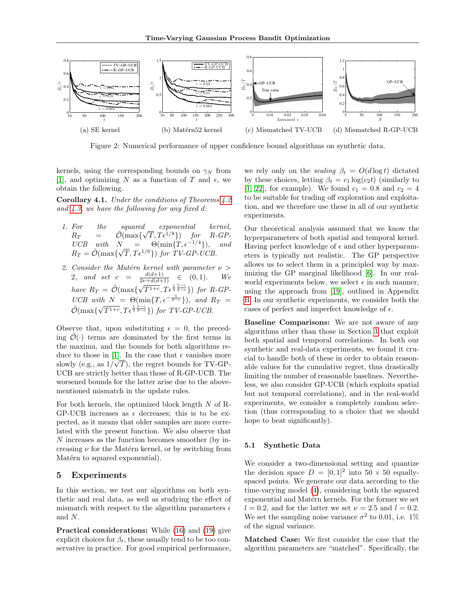<span id="page-5-2"></span>

Figure 2: Numerical performance of upper confidence bound algorithms on synthetic data.

kernels, using the corresponding bounds on  $\gamma_N$  from [\[1\]](#page-8-0), and optimizing N as a function of T and  $\epsilon$ , we obtain the following.

<span id="page-5-1"></span>Corollary 4.1. Under the conditions of Theorems [4.2](#page-4-1) and  $4.3$ , we have the following for any fixed d:

- 1. For the squared exponential kernel, For the squared exponential kernel,<br>  $R_T$  =  $\tilde{\mathcal{O}}(\max\{\sqrt{T}, T\epsilon^{1/8}\})$  for R-GP- $UCB$  with  $N = \Theta(\min\{T, \epsilon^{-1/4}\}),$  and  $R_T = \tilde{\mathcal{O}}(\max\{\sqrt{T}, T\epsilon^{1/6}\})$  for TV-GP-UCB.
- 2. Consider the Matérn kernel with parameter  $\nu >$ 2, and set  $c = \frac{d(d+1)}{2\nu + d(d+1)} \in (0,1)$ . We have  $R_T = \tilde{\mathcal{O}}(\max\{\sqrt{\}$  $\overline{T^{1+c}}, T\epsilon^{\frac{1}{2}\frac{1-c}{4-c}}\})$  for R-GP-UCB with  $N = \Theta(\min\{T, \epsilon^{-\frac{1}{4-c}}\})$ , and  $R_T =$  $\tilde{\mathcal{O}}(\max\{\sqrt{\})}$  $\overline{T^{1+c}}, T\epsilon^{\frac{1}{2}\frac{1-c}{3-c}}\})$  for TV-GP-UCB.

Observe that, upon substituting  $\epsilon = 0$ , the preceding  $\mathcal{O}(\cdot)$  terms are dominated by the first terms in the maxima, and the bounds for both algorithms re-duce to those in [\[1\]](#page-8-0). In the case that  $\epsilon$  vanishes more slowly (e.g., as  $1/\sqrt{T}$ ), the regret bounds for TV-GP-UCB are strictly better than those of R-GP-UCB. The worsened bounds for the latter arise due to the abovementioned mismatch in the update rules.

For both kernels, the optimized block length  $N$  of R-GP-UCB increases as  $\epsilon$  decreases; this is to be expected, as it means that older samples are more correlated with the present function. We also observe that N increases as the function becomes smoother (by increasing  $\nu$  for the Matérn kernel, or by switching from Matérn to squared exponential).

#### <span id="page-5-0"></span>5 Experiments

In this section, we test our algorithms on both synthetic and real data, as well as studying the effect of mismatch with respect to the algorithm parameters  $\epsilon$ and N.

Practical considerations: While [\(16\)](#page-4-5) and [\(19\)](#page-4-6) give explicit choices for  $\beta_t$ , these usually tend to be too conservative in practice. For good empirical performance,

we rely only on the *scaling*  $\beta_t = O(d \log t)$  dictated by these choices, letting  $\beta_t = c_1 \log(c_2 t)$  (similarly to [\[1,](#page-8-0) [22\]](#page-8-21), for example). We found  $c_1 = 0.8$  and  $c_2 = 4$ to be suitable for trading off exploration and exploitation, and we therefore use these in all of our synthetic experiments.

Our theoretical analysis assumed that we know the hyperparameters of both spatial and temporal kernel. Having perfect knowledge of  $\epsilon$  and other hyperparameters is typically not realistic. The GP perspective allows us to select them in a principled way by maximizing the GP marginal likelihood [\[6\]](#page-8-5). In our realworld experiments below, we select  $\epsilon$  in such manner, using the approach from [\[19\]](#page-8-18), outlined in Appendix [B.](#page-10-0) In our synthetic experiments, we consider both the cases of perfect and imperfect knowledge of  $\epsilon$ .

Baseline Comparisons: We are not aware of any algorithms other than those in Section [3](#page-2-4) that exploit both spatial and temporal correlations. In both our synthetic and real-data experiments, we found it crucial to handle both of these in order to obtain reasonable values for the cumulative regret, thus drastically limiting the number of reasonable baselines. Nevertheless, we also consider GP-UCB (which exploits spatial but not temporal correlations), and in the real-world experiments, we consider a completely random selection (thus corresponding to a choice that we should hope to beat significantly).

#### 5.1 Synthetic Data

We consider a two-dimensional setting and quantize the decision space  $D = [0, 1]^2$  into  $50 \times 50$  equallyspaced points. We generate our data according to the time-varying model [\(4\)](#page-1-2), considering both the squared exponential and Matérn kernels. For the former we set  $l = 0.2$ , and for the latter we set  $\nu = 2.5$  and  $l = 0.2$ . We set the sampling noise variance  $\sigma^2$  to 0.01, i.e. 1% of the signal variance.

Matched Case: We first consider the case that the algorithm parameters are "matched". Specifically, the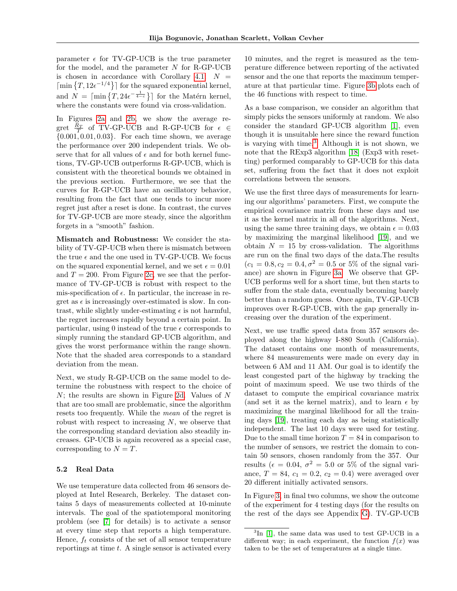parameter  $\epsilon$  for TV-GP-UCB is the true parameter for the model, and the parameter N for R-GP-UCB is chosen in accordance with Corollary [4.1:](#page-5-1)  $N =$  $\lceil \min \{T, 12\epsilon^{-1/4} \}\rceil$  for the squared exponential kernel, and  $N = \lceil \min\{T, 24e^{-\frac{1}{4-c}}\}\rceil$  for the Matérn kernel, where the constants were found via cross-validation.

In Figures [2a](#page-5-2) and [2b,](#page-5-2) we show the average regret  $\frac{R_T}{T}$  of TV-GP-UCB and R-GP-UCB for  $\epsilon \in$  $\{0.001, 0.01, 0.03\}$ . For each time shown, we average the performance over 200 independent trials. We observe that for all values of  $\epsilon$  and for both kernel functions, TV-GP-UCB outperforms R-GP-UCB, which is consistent with the theoretical bounds we obtained in the previous section. Furthermore, we see that the curves for R-GP-UCB have an oscillatory behavior, resulting from the fact that one tends to incur more regret just after a reset is done. In contrast, the curves for TV-GP-UCB are more steady, since the algorithm forgets in a "smooth" fashion.

Mismatch and Robustness: We consider the stability of TV-GP-UCB when there is mismatch between the true  $\epsilon$  and the one used in TV-GP-UCB. We focus on the squared exponential kernel, and we set  $\epsilon = 0.01$ and  $T = 200$ . From Figure [2c,](#page-5-2) we see that the performance of TV-GP-UCB is robust with respect to the mis-specification of  $\epsilon$ . In particular, the increase in regret as  $\epsilon$  is increasingly over-estimated is slow. In contrast, while slightly under-estimating  $\epsilon$  is not harmful, the regret increases rapidly beyond a certain point. In particular, using 0 instead of the true  $\epsilon$  corresponds to simply running the standard GP-UCB algorithm, and gives the worst performance within the range shown. Note that the shaded area corresponds to a standard deviation from the mean.

Next, we study R-GP-UCB on the same model to determine the robustness with respect to the choice of N; the results are shown in Figure [2d.](#page-5-2) Values of N that are too small are problematic, since the algorithm resets too frequently. While the mean of the regret is robust with respect to increasing  $N$ , we observe that the corresponding standard deviation also steadily increases. GP-UCB is again recovered as a special case, corresponding to  $N = T$ .

#### <span id="page-6-1"></span>5.2 Real Data

We use temperature data collected from 46 sensors deployed at Intel Research, Berkeley. The dataset contains 5 days of measurements collected at 10-minute intervals. The goal of the spatiotemporal monitoring problem (see [\[7\]](#page-8-6) for details) is to activate a sensor at every time step that reports a high temperature. Hence,  $f_t$  consists of the set of all sensor temperature reportings at time  $t$ . A single sensor is activated every

10 minutes, and the regret is measured as the temperature difference between reporting of the activated sensor and the one that reports the maximum temperature at that particular time. Figure [3b](#page-7-0) plots each of the 46 functions with respect to time.

As a base comparison, we consider an algorithm that simply picks the sensors uniformly at random. We also consider the standard GP-UCB algorithm [\[1\]](#page-8-0), even though it is unsuitable here since the reward function is varying with time.[3](#page-6-0) Although it is not shown, we note that the RExp3 algorithm [\[18\]](#page-8-17) (Exp3 with resetting) performed comparably to GP-UCB for this data set, suffering from the fact that it does not exploit correlations between the sensors.

We use the first three days of measurements for learning our algorithms' parameters. First, we compute the empirical covariance matrix from these days and use it as the kernel matrix in all of the algorithms. Next, using the same three training days, we obtain  $\epsilon = 0.03$ by maximizing the marginal likelihood [\[19\]](#page-8-18), and we obtain  $N = 15$  by cross-validation. The algorithms are run on the final two days of the data.The results  $(c_1 = 0.8, c_2 = 0.4, \sigma^2 = 0.5 \text{ or } 5\% \text{ of the signal vari$ ance) are shown in Figure [3a.](#page-7-0) We observe that GP-UCB performs well for a short time, but then starts to suffer from the stale data, eventually becoming barely better than a random guess. Once again, TV-GP-UCB improves over R-GP-UCB, with the gap generally increasing over the duration of the experiment.

Next, we use traffic speed data from 357 sensors deployed along the highway I-880 South (California). The dataset contains one month of measurements, where 84 measurements were made on every day in between 6 AM and 11 AM. Our goal is to identify the least congested part of the highway by tracking the point of maximum speed. We use two thirds of the dataset to compute the empirical covariance matrix (and set it as the kernel matrix), and to learn  $\epsilon$  by maximizing the marginal likelihood for all the training days [\[19\]](#page-8-18), treating each day as being statistically independent. The last 10 days were used for testing. Due to the small time horizon  $T = 84$  in comparison to the number of sensors, we restrict the domain to contain 50 sensors, chosen randomly from the 357. Our results ( $\epsilon = 0.04$ ,  $\sigma^2 = 5.0$  or 5% of the signal variance,  $T = 84$ ,  $c_1 = 0.2$ ,  $c_2 = 0.4$ ) were averaged over 20 different initially activated sensors.

In Figure [3,](#page-7-0) in final two columns, we show the outcome of the experiment for 4 testing days (for the results on the rest of the days see Appendix [G\)](#page-18-0). TV-GP-UCB

<span id="page-6-0"></span><sup>&</sup>lt;sup>3</sup>In [\[1\]](#page-8-0), the same data was used to test GP-UCB in a different way; in each experiment, the function  $f(x)$  was taken to be the set of temperatures at a single time.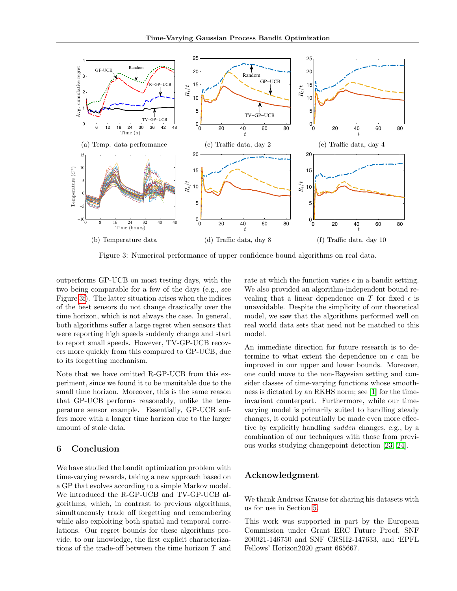<span id="page-7-0"></span>

Figure 3: Numerical performance of upper confidence bound algorithms on real data.

outperforms GP-UCB on most testing days, with the two being comparable for a few of the days (e.g., see Figure [3f\)](#page-7-0). The latter situation arises when the indices of the best sensors do not change drastically over the time horizon, which is not always the case. In general, both algorithms suffer a large regret when sensors that were reporting high speeds suddenly change and start to report small speeds. However, TV-GP-UCB recovers more quickly from this compared to GP-UCB, due to its forgetting mechanism.

Note that we have omitted R-GP-UCB from this experiment, since we found it to be unsuitable due to the small time horizon. Moreover, this is the same reason that GP-UCB performs reasonably, unlike the temperature sensor example. Essentially, GP-UCB suffers more with a longer time horizon due to the larger amount of stale data.

## 6 Conclusion

We have studied the bandit optimization problem with time-varying rewards, taking a new approach based on a GP that evolves according to a simple Markov model. We introduced the R-GP-UCB and TV-GP-UCB algorithms, which, in contrast to previous algorithms, simultaneously trade off forgetting and remembering while also exploiting both spatial and temporal correlations. Our regret bounds for these algorithms provide, to our knowledge, the first explicit characterizations of the trade-off between the time horizon T and

rate at which the function varies  $\epsilon$  in a bandit setting. We also provided an algorithm-independent bound revealing that a linear dependence on T for fixed  $\epsilon$  is unavoidable. Despite the simplicity of our theoretical model, we saw that the algorithms performed well on real world data sets that need not be matched to this model.

An immediate direction for future research is to determine to what extent the dependence on  $\epsilon$  can be improved in our upper and lower bounds. Moreover, one could move to the non-Bayesian setting and consider classes of time-varying functions whose smoothness is dictated by an RKHS norm; see [\[1\]](#page-8-0) for the timeinvariant counterpart. Furthermore, while our timevarying model is primarily suited to handling steady changes, it could potentially be made even more effective by explicitly handling sudden changes, e.g., by a combination of our techniques with those from previous works studying changepoint detection [\[23,](#page-8-22) [24\]](#page-8-23).

## Acknowledgment

We thank Andreas Krause for sharing his datasets with us for use in Section [5.](#page-5-0)

This work was supported in part by the European Commission under Grant ERC Future Proof, SNF 200021-146750 and SNF CRSII2-147633, and 'EPFL Fellows' Horizon2020 grant 665667.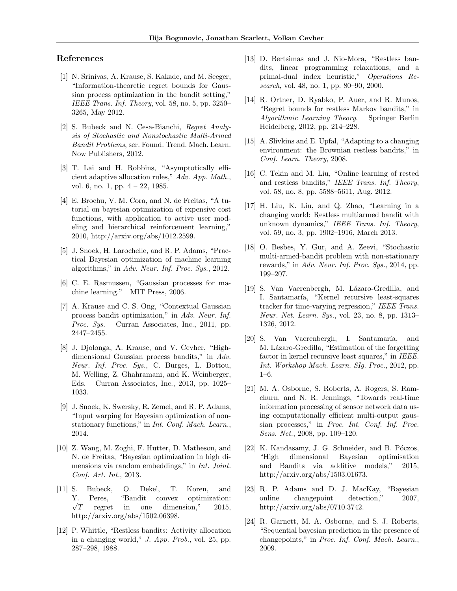### References

- <span id="page-8-0"></span>[1] N. Srinivas, A. Krause, S. Kakade, and M. Seeger, "Information-theoretic regret bounds for Gaussian process optimization in the bandit setting," IEEE Trans. Inf. Theory, vol. 58, no. 5, pp. 3250– 3265, May 2012.
- <span id="page-8-1"></span>[2] S. Bubeck and N. Cesa-Bianchi, Regret Analysis of Stochastic and Nonstochastic Multi-Armed Bandit Problems, ser. Found. Trend. Mach. Learn. Now Publishers, 2012.
- <span id="page-8-2"></span>[3] T. Lai and H. Robbins, "Asymptotically efficient adaptive allocation rules," Adv. App. Math., vol. 6, no. 1, pp. 4 – 22, 1985.
- <span id="page-8-3"></span>[4] E. Brochu, V. M. Cora, and N. de Freitas, "A tutorial on bayesian optimization of expensive cost functions, with application to active user modeling and hierarchical reinforcement learning," 2010, http://arxiv.org/abs/1012.2599.
- <span id="page-8-4"></span>[5] J. Snoek, H. Larochelle, and R. P. Adams, "Practical Bayesian optimization of machine learning algorithms," in Adv. Neur. Inf. Proc. Sys., 2012.
- <span id="page-8-5"></span>[6] C. E. Rasmussen, "Gaussian processes for machine learning." MIT Press, 2006.
- <span id="page-8-6"></span>[7] A. Krause and C. S. Ong, "Contextual Gaussian process bandit optimization," in Adv. Neur. Inf. Proc. Sys. Curran Associates, Inc., 2011, pp. 2447–2455.
- <span id="page-8-7"></span>[8] J. Djolonga, A. Krause, and V. Cevher, "Highdimensional Gaussian process bandits," in Adv. Neur. Inf. Proc. Sys., C. Burges, L. Bottou, M. Welling, Z. Ghahramani, and K. Weinberger, Eds. Curran Associates, Inc., 2013, pp. 1025– 1033.
- <span id="page-8-8"></span>[9] J. Snoek, K. Swersky, R. Zemel, and R. P. Adams, "Input warping for Bayesian optimization of nonstationary functions," in *Int. Conf. Mach. Learn.*, 2014.
- <span id="page-8-9"></span>[10] Z. Wang, M. Zoghi, F. Hutter, D. Matheson, and N. de Freitas, "Bayesian optimization in high dimensions via random embeddings," in Int. Joint. Conf. Art. Int., 2013.
- <span id="page-8-10"></span>[11] S. Bubeck, O. Dekel, T. Koren, and Peres, "Bandit convex optimization: Y.<br> $\sqrt{T}$ regret in one dimension," 2015, http://arxiv.org/abs/1502.06398.
- <span id="page-8-11"></span>[12] P. Whittle, "Restless bandits: Activity allocation in a changing world," J. App. Prob., vol. 25, pp. 287–298, 1988.
- <span id="page-8-12"></span>[13] D. Bertsimas and J. Nio-Mora, "Restless bandits, linear programming relaxations, and a primal-dual index heuristic," Operations Research, vol. 48, no. 1, pp. 80–90, 2000.
- <span id="page-8-13"></span>[14] R. Ortner, D. Ryabko, P. Auer, and R. Munos, "Regret bounds for restless Markov bandits," in Algorithmic Learning Theory. Springer Berlin Heidelberg, 2012, pp. 214–228.
- <span id="page-8-14"></span>[15] A. Slivkins and E. Upfal, "Adapting to a changing environment: the Brownian restless bandits," in Conf. Learn. Theory, 2008.
- <span id="page-8-15"></span>[16] C. Tekin and M. Liu, "Online learning of rested and restless bandits," IEEE Trans. Inf. Theory, vol. 58, no. 8, pp. 5588–5611, Aug. 2012.
- <span id="page-8-16"></span>[17] H. Liu, K. Liu, and Q. Zhao, "Learning in a changing world: Restless multiarmed bandit with unknown dynamics," IEEE Trans. Inf. Theory, vol. 59, no. 3, pp. 1902–1916, March 2013.
- <span id="page-8-17"></span>[18] O. Besbes, Y. Gur, and A. Zeevi, "Stochastic multi-armed-bandit problem with non-stationary rewards," in Adv. Neur. Inf. Proc. Sys., 2014, pp. 199–207.
- <span id="page-8-18"></span>[19] S. Van Vaerenbergh, M. Lázaro-Gredilla, and I. Santamaría, "Kernel recursive least-squares tracker for time-varying regression," IEEE Trans. Neur. Net. Learn. Sys., vol. 23, no. 8, pp. 1313– 1326, 2012.
- <span id="page-8-19"></span>[20] S. Van Vaerenbergh, I. Santamaría, and M. Lázaro-Gredilla, "Estimation of the forgetting factor in kernel recursive least squares," in IEEE. Int. Workshop Mach. Learn. SIg. Proc., 2012, pp. 1–6.
- <span id="page-8-20"></span>[21] M. A. Osborne, S. Roberts, A. Rogers, S. Ramchurn, and N. R. Jennings, "Towards real-time information processing of sensor network data using computationally efficient multi-output gaussian processes," in Proc. Int. Conf. Inf. Proc. Sens. Net., 2008, pp. 109–120.
- <span id="page-8-21"></span>[22] K. Kandasamy, J. G. Schneider, and B. Póczos, "High dimensional Bayesian optimisation and Bandits via additive models," 2015, http://arxiv.org/abs/1503.01673.
- <span id="page-8-22"></span>[23] R. P. Adams and D. J. MacKay, "Bayesian online changepoint detection," 2007, http://arxiv.org/abs/0710.3742.
- <span id="page-8-23"></span>[24] R. Garnett, M. A. Osborne, and S. J. Roberts, "Sequential bayesian prediction in the presence of changepoints," in Proc. Inf. Conf. Mach. Learn., 2009.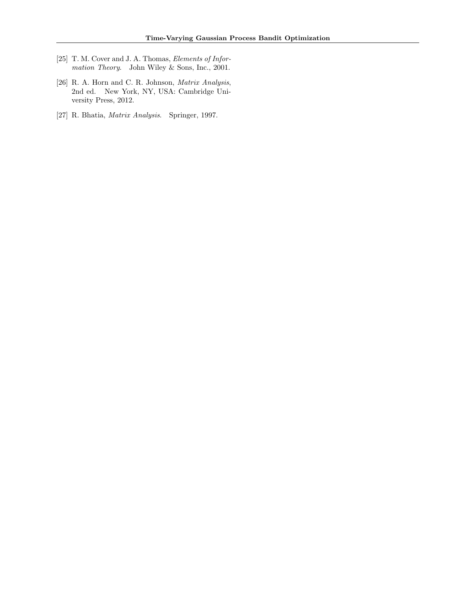- <span id="page-9-0"></span>[25] T. M. Cover and J. A. Thomas, *Elements of Infor*mation Theory. John Wiley & Sons, Inc., 2001.
- <span id="page-9-1"></span>[26] R. A. Horn and C. R. Johnson, Matrix Analysis, 2nd ed. New York, NY, USA: Cambridge University Press, 2012.
- <span id="page-9-2"></span>[27] R. Bhatia, Matrix Analysis. Springer, 1997.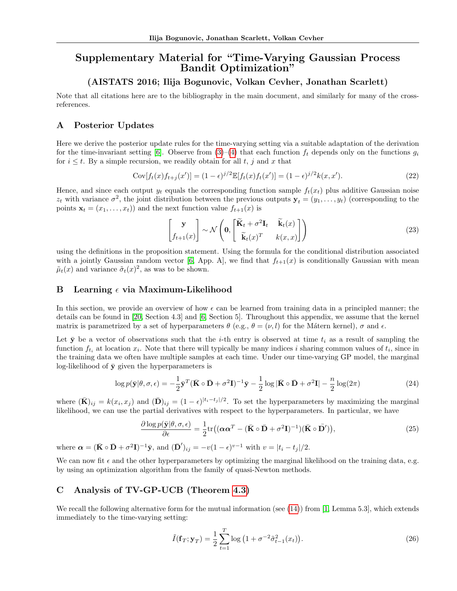# Supplementary Material for "Time-Varying Gaussian Process Bandit Optimization"

## (AISTATS 2016; Ilija Bogunovic, Volkan Cevher, Jonathan Scarlett)

Note that all citations here are to the bibliography in the main document, and similarly for many of the crossreferences.

# A Posterior Updates

Here we derive the posterior update rules for the time-varying setting via a suitable adaptation of the derivation for the time-invariant setting [\[6\]](#page-8-5). Observe from  $(3)-(4)$  $(3)-(4)$  that each function  $f_t$  depends only on the functions  $g_i$ for  $i \leq t$ . By a simple recursion, we readily obtain for all t, j and x that

$$
Cov[f_t(x)f_{t+j}(x')] = (1 - \epsilon)^{j/2} \mathbb{E}[f_t(x)f_t(x')] = (1 - \epsilon)^{j/2} k(x, x').
$$
\n(22)

Hence, and since each output  $y_t$  equals the corresponding function sample  $f_t(x_t)$  plus additive Gaussian noise  $z_t$  with variance  $\sigma^2$ , the joint distribution between the previous outputs  $y_t = (y_1, \ldots, y_t)$  (corresponding to the points  $\mathbf{x}_t = (x_1, \ldots, x_t)$  and the next function value  $f_{t+1}(x)$  is

$$
\begin{bmatrix} \mathbf{y} \\ f_{t+1}(x) \end{bmatrix} \sim \mathcal{N} \left( \mathbf{0}, \begin{bmatrix} \widetilde{\mathbf{K}}_t + \sigma^2 \mathbf{I}_t & \widetilde{\mathbf{k}}_t(x) \\ \widetilde{\mathbf{k}}_t(x)^T & k(x, x) \end{bmatrix} \right)
$$
(23)

using the definitions in the proposition statement. Using the formula for the conditional distribution associated with a jointly Gaussian random vector [\[6,](#page-8-5) App. A], we find that  $f_{t+1}(x)$  is conditionally Gaussian with mean  $\tilde{\mu}_t(x)$  and variance  $\tilde{\sigma}_t(x)^2$ , as was to be shown.

#### <span id="page-10-0"></span>B Learning  $\epsilon$  via Maximum-Likelihood

In this section, we provide an overview of how  $\epsilon$  can be learned from training data in a principled manner; the details can be found in [\[20,](#page-8-19) Section 4.3] and [\[6,](#page-8-5) Section 5]. Throughout this appendix, we assume that the kernel matrix is parametrized by a set of hyperparameters  $\theta$  (e.g.,  $\theta = (\nu, l)$  for the Mátern kernel),  $\sigma$  and  $\epsilon$ .

Let  $\bar{y}$  be a vector of observations such that the *i*-th entry is observed at time  $t_i$  as a result of sampling the function  $f_{t_i}$  at location  $x_i$ . Note that there will typically be many indices i sharing common values of  $t_i$ , since in the training data we often have multiple samples at each time. Under our time-varying GP model, the marginal log-likelihood of  $\bar{v}$  given the hyperparameters is

$$
\log p(\bar{\mathbf{y}}|\theta,\sigma,\epsilon) = -\frac{1}{2}\bar{\mathbf{y}}^T(\bar{\mathbf{K}} \circ \bar{\mathbf{D}} + \sigma^2 \mathbf{I})^{-1}\bar{\mathbf{y}} - \frac{1}{2}\log|\bar{\mathbf{K}} \circ \bar{\mathbf{D}} + \sigma^2 \mathbf{I}| - \frac{n}{2}\log(2\pi)
$$
\n(24)

where  $(\bar{\mathbf{K}})_{ij} = k(x_i, x_j)$  and  $(\bar{\mathbf{D}})_{ij} = (1 - \epsilon)^{|t_i - t_j|/2}$ . To set the hyperparameters by maximizing the marginal likelihood, we can use the partial derivatives with respect to the hyperparameters. In particular, we have

$$
\frac{\partial \log p(\bar{\mathbf{y}}|\theta,\sigma,\epsilon)}{\partial \epsilon} = \frac{1}{2} \text{tr} \big( (\boldsymbol{\alpha} \boldsymbol{\alpha}^T - (\bar{\mathbf{K}} \circ \bar{\mathbf{D}} + \sigma^2 \mathbf{I})^{-1}) (\bar{\mathbf{K}} \circ \bar{\mathbf{D}}') \big),\tag{25}
$$

where  $\mathbf{\alpha} = (\mathbf{\bar{K}} \circ \mathbf{\bar{D}} + \sigma^2 \mathbf{I})^{-1} \mathbf{\bar{y}}, \text{ and } (\mathbf{\bar{D}}')_{ij} = -v(1-\epsilon)^{v-1} \text{ with } v = |t_i - t_j|/2.$ 

We can now fit  $\epsilon$  and the other hyperparameters by optimizing the marginal likelihood on the training data, e.g. by using an optimization algorithm from the family of quasi-Newton methods.

## C Analysis of TV-GP-UCB (Theorem [4.3\)](#page-4-4)

We recall the following alternative form for the mutual information (see  $(14)$ ) from [\[1,](#page-8-0) Lemma 5.3], which extends immediately to the time-varying setting:

<span id="page-10-1"></span>
$$
\tilde{I}(\mathbf{f}_T; \mathbf{y}_T) = \frac{1}{2} \sum_{t=1}^T \log \left( 1 + \sigma^{-2} \tilde{\sigma}_{t-1}^2(x_t) \right).
$$
\n(26)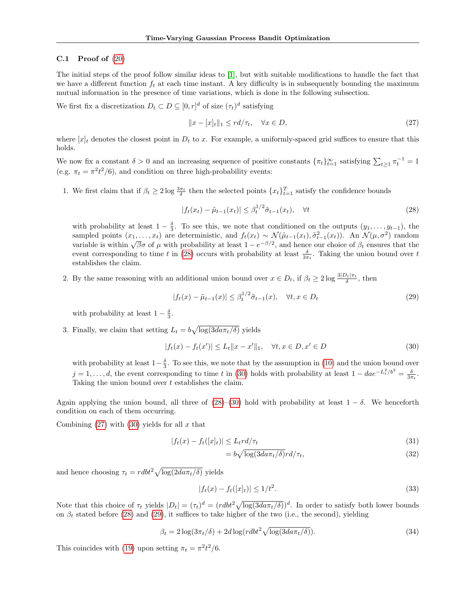#### C.1 Proof of  $(20)$

The initial steps of the proof follow similar ideas to [\[1\]](#page-8-0), but with suitable modifications to handle the fact that we have a different function  $f_t$  at each time instant. A key difficulty is in subsequently bounding the maximum mutual information in the presence of time variations, which is done in the following subsection.

We first fix a discretization  $D_t \subset D \subseteq [0, r]^d$  of size  $(\tau_t)^d$  satisfying

<span id="page-11-2"></span>
$$
||x - [x]_t||_1 \le r d/\tau_t, \quad \forall x \in D,
$$
\n
$$
(27)
$$

where  $[x]_t$  denotes the closest point in  $D_t$  to x. For example, a uniformly-spaced grid suffices to ensure that this holds.

We now fix a constant  $\delta > 0$  and an increasing sequence of positive constants  $\{\pi_t\}_{t=1}^{\infty}$  satisfying  $\sum_{t\geq 1} \pi_t^{-1} = 1$ (e.g.  $\pi_t = \pi^2 t^2/6$ ), and condition on three high-probability events:

1. We first claim that if  $\beta_t \geq 2 \log \frac{3\pi_t}{\delta}$  then the selected points  $\{x_t\}_{t=1}^T$  satisfy the confidence bounds

<span id="page-11-0"></span>
$$
|f_t(x_t) - \tilde{\mu}_{t-1}(x_t)| \leq \beta_t^{1/2} \tilde{\sigma}_{t-1}(x_t), \quad \forall t \tag{28}
$$

with probability at least  $1-\frac{\delta}{3}$ . To see this, we note that conditioned on the outputs  $(y_1, \ldots, y_{t-1})$ , the sampled points  $(x_1, \ldots, x_t)$  are deterministic, and  $f_t(x_t) \sim \mathcal{N}(\tilde{\mu}_{t-1}(x_t), \tilde{\sigma}_{t-1}^2(x_t))$ . An  $\mathcal{N}(\mu, \sigma^2)$  random variable is within  $\sqrt{\beta}\sigma$  of  $\mu$  with probability at least  $1 - e^{-\beta/2}$ , and hence our choice of  $\beta_t$  ensures that the event corresponding to time t in [\(28\)](#page-11-0) occurs with probability at least  $\frac{\delta}{3\pi t}$ . Taking the union bound over t establishes the claim.

2. By the same reasoning with an additional union bound over  $x \in D_t$ , if  $\beta_t \geq 2 \log \frac{3|D_t|\pi_t}{\delta}$ , then

<span id="page-11-3"></span><span id="page-11-1"></span>
$$
|f_t(x) - \tilde{\mu}_{t-1}(x)| \le \beta_t^{1/2} \tilde{\sigma}_{t-1}(x), \quad \forall t, x \in D_t
$$
\n
$$
(29)
$$

with probability at least  $1 - \frac{\delta}{3}$ .

3. Finally, we claim that setting  $L_t = b \sqrt{\log(3da\pi_t/\delta)}$  yields

$$
|f_t(x) - f_t(x')| \le L_t \|x - x'\|_1, \quad \forall t, x \in D, x' \in D
$$
\n(30)

with probability at least  $1-\frac{\delta}{3}$ . To see this, we note that by the assumption in [\(10\)](#page-3-4) and the union bound over  $j = 1, \ldots, d$ , the event corresponding to time t in [\(30\)](#page-11-1) holds with probability at least  $1 - dae^{-L_t^2/b^2} = \frac{\delta}{3\pi t}$ . Taking the union bound over t establishes the claim.

Again applying the union bound, all three of [\(28\)](#page-11-0)–[\(30\)](#page-11-1) hold with probability at least  $1 - \delta$ . We henceforth condition on each of them occurring.

Combining  $(27)$  with  $(30)$  yields for all x that

$$
|f_t(x) - f_t([x]_t)| \le L_t r d/\tau_t \tag{31}
$$

<span id="page-11-4"></span>
$$
= b\sqrt{\log(3da\pi_t/\delta)}rd/\tau_t,
$$
\n(32)

and hence choosing  $\tau_t = rdbt^2 \sqrt{\log(2da\pi_t/\delta)}$  yields

$$
|f_t(x) - f_t([x]_t)| \le 1/t^2. \tag{33}
$$

Note that this choice of  $\tau_t$  yields  $|D_t| = (\tau_t)^d = (rdbt^2\sqrt{\log(3da\tau_t/\delta)})^d$ . In order to satisfy both lower bounds on  $\beta_t$  stated before [\(28\)](#page-11-0) and [\(29\)](#page-11-3), it suffices to take higher of the two (i.e., the second), yielding

$$
\beta_t = 2\log(3\pi_t/\delta) + 2d\log(rdbt^2\sqrt{\log(3da\pi_t/\delta)}). \tag{34}
$$

This coincides with [\(19\)](#page-4-6) upon setting  $\pi_t = \pi^2 t^2/6$ .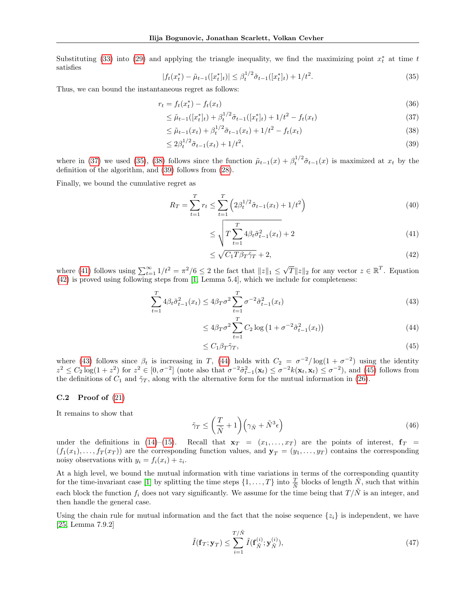<span id="page-12-1"></span>Substituting [\(33\)](#page-11-4) into [\(29\)](#page-11-3) and applying the triangle inequality, we find the maximizing point  $x_t^*$  at time t satisfies

$$
|f_t(x_t^*) - \tilde{\mu}_{t-1}([x_t^*]_t)| \leq \beta_t^{1/2} \tilde{\sigma}_{t-1}([x_t^*]_t) + 1/t^2.
$$
\n(35)

Thus, we can bound the instantaneous regret as follows:

$$
r_t = f_t(x_t^*) - f_t(x_t)
$$
\n(36)

$$
\leq \tilde{\mu}_{t-1}([x_t^*]_t) + \beta_t^{1/2} \tilde{\sigma}_{t-1}([x_t^*]_t) + 1/t^2 - f_t(x_t)
$$
\n(37)

$$
\leq \tilde{\mu}_{t-1}(x_t) + \beta_t^{1/2} \tilde{\sigma}_{t-1}(x_t) + 1/t^2 - f_t(x_t)
$$
\n(38)

$$
\leq 2\beta_t^{1/2}\tilde{\sigma}_{t-1}(x_t) + 1/t^2,\tag{39}
$$

where in [\(37\)](#page-12-0) we used [\(35\)](#page-12-1), [\(38\)](#page-12-2) follows since the function  $\tilde{\mu}_{t-1}(x) + \beta_t^{1/2} \tilde{\sigma}_{t-1}(x)$  is maximized at  $x_t$  by the definition of the algorithm, and [\(39\)](#page-12-3) follows from [\(28\)](#page-11-0).

Finally, we bound the cumulative regret as

$$
R_T = \sum_{t=1}^T r_t \le \sum_{t=1}^T \left( 2\beta_t^{1/2} \tilde{\sigma}_{t-1}(x_t) + 1/t^2 \right)
$$
\n(40)

<span id="page-12-9"></span><span id="page-12-3"></span><span id="page-12-2"></span><span id="page-12-0"></span>
$$
\leq \sqrt{T \sum_{t=1}^{T} 4\beta_t \tilde{\sigma}_{t-1}^2(x_t)} + 2 \tag{41}
$$

<span id="page-12-6"></span><span id="page-12-5"></span><span id="page-12-4"></span>
$$
\leq \sqrt{C_1 T \beta_T \tilde{\gamma}_T} + 2,\tag{42}
$$

where [\(41\)](#page-12-4) follows using  $\sum_{t=1}^{\infty} 1/t^2 = \pi^2/6 \le 2$  the fact that  $||z||_1 \le \sqrt{T} ||z||_2$  for any vector  $z \in \mathbb{R}^T$ . Equation [\(42\)](#page-12-5) is proved using following steps from [\[1,](#page-8-0) Lemma 5.4], which we include for completeness:

$$
\sum_{t=1}^{T} 4\beta_t \tilde{\sigma}_{t-1}^2(x_t) \le 4\beta_T \sigma^2 \sum_{t=1}^{T} \sigma^{-2} \tilde{\sigma}_{t-1}^2(x_t)
$$
\n(43)

<span id="page-12-7"></span>
$$
\leq 4\beta_T \sigma^2 \sum_{t=1}^T C_2 \log \left( 1 + \sigma^{-2} \tilde{\sigma}_{t-1}^2(x_t) \right) \tag{44}
$$

<span id="page-12-8"></span>
$$
\leq C_1 \beta_T \tilde{\gamma}_T,\tag{45}
$$

where [\(43\)](#page-12-6) follows since  $\beta_t$  is increasing in T, [\(44\)](#page-12-7) holds with  $C_2 = \sigma^{-2}/\log(1+\sigma^{-2})$  using the identity  $z^2 \le C_2 \log(1+z^2)$  for  $z^2 \in [0,\sigma^{-2}]$  (note also that  $\sigma^{-2}\tilde{\sigma}_{t-1}^2(\mathbf{x}_t) \le \sigma^{-2}k(\mathbf{x}_t,\mathbf{x}_t) \le \sigma^{-2}$ ), and [\(45\)](#page-12-8) follows from the definitions of  $C_1$  and  $\tilde{\gamma}_T$ , along with the alternative form for the mutual information in [\(26\)](#page-10-1).

#### $C.2$  Proof of  $(21)$

It remains to show that

$$
\tilde{\gamma}_T \le \left(\frac{T}{\tilde{N}} + 1\right) \left(\gamma_{\tilde{N}} + \tilde{N}^3 \epsilon\right) \tag{46}
$$

under the definitions in [\(14\)](#page-4-7)–[\(15\)](#page-4-8). Recall that  $\mathbf{x}_T = (x_1, \ldots, x_T)$  are the points of interest,  $\mathbf{f}_T =$  $(f_1(x_1),..., f_T(x_T))$  are the corresponding function values, and  $\mathbf{y}_T = (y_1,..., y_T)$  contains the corresponding noisy observations with  $y_i = f_i(x_i) + z_i$ .

At a high level, we bound the mutual information with time variations in terms of the corresponding quantity for the time-invariant case [\[1\]](#page-8-0) by splitting the time steps  $\{1,\ldots,T\}$  into  $\frac{T}{\tilde{N}}$  blocks of length  $\tilde{N}$ , such that within each block the function  $f_i$  does not vary significantly. We assume for the time being that  $T/\tilde{N}$  is an integer, and then handle the general case.

Using the chain rule for mutual information and the fact that the noise sequence  $\{z_i\}$  is independent, we have [\[25,](#page-9-0) Lemma 7.9.2]

$$
\tilde{I}(\mathbf{f}_T; \mathbf{y}_T) \le \sum_{i=1}^{T/\tilde{N}} \tilde{I}(\mathbf{f}_{\tilde{N}}^{(i)}; \mathbf{y}_{\tilde{N}}^{(i)}),\tag{47}
$$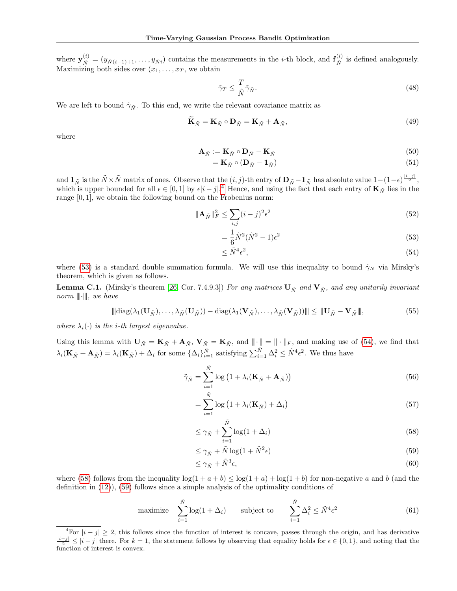where  $\mathbf{y}_{\tilde{N}}^{(i)} = (y_{\tilde{N}(i-1)+1}, \ldots, y_{\tilde{N}i})$  contains the measurements in the *i*-th block, and  $\mathbf{f}_{\tilde{N}}^{(i)}$  $\stackrel{\left(i\right)}{\tilde{N}}$  is defined analogously. Maximizing both sides over  $(x_1, \ldots, x_T, w)$  we obtain

<span id="page-13-6"></span>
$$
\tilde{\gamma}_T \le \frac{T}{\tilde{N}} \tilde{\gamma}_{\tilde{N}}.\tag{48}
$$

We are left to bound  $\tilde{\gamma}_{\tilde{N}}$ . To this end, we write the relevant covariance matrix as

$$
\widetilde{\mathbf{K}}_{\tilde{N}} = \mathbf{K}_{\tilde{N}} \circ \mathbf{D}_{\tilde{N}} = \mathbf{K}_{\tilde{N}} + \mathbf{A}_{\tilde{N}},\tag{49}
$$

where

$$
\mathbf{A}_{\tilde{N}} := \mathbf{K}_{\tilde{N}} \circ \mathbf{D}_{\tilde{N}} - \mathbf{K}_{\tilde{N}} \tag{50}
$$

<span id="page-13-7"></span>
$$
= \mathbf{K}_{\tilde{N}} \circ (\mathbf{D}_{\tilde{N}} - \mathbf{1}_{\tilde{N}}) \tag{51}
$$

and  $\mathbf{1}_{\tilde{N}}$  is the  $\tilde{N} \times \tilde{N}$  matrix of ones. Observe that the  $(i, j)$ -th entry of  $\mathbf{D}_{\tilde{N}} - \mathbf{1}_{\tilde{N}}$  has absolute value  $1 - (1 - \epsilon)^{\frac{|i - j|}{2}}$ , which is upper bounded for all  $\epsilon \in [0,1]$  by  $\epsilon \neq j$ .<sup>[4](#page-13-0)</sup> Hence, and using the fact that each entry of  $\mathbf{K}_{\tilde{N}}$  lies in the range [0, 1], we obtain the following bound on the Frobenius norm:

$$
\|\mathbf{A}_{\tilde{N}}\|_{F}^{2} \le \sum_{i,j} (i-j)^{2} \epsilon^{2}
$$
\n(52)

$$
=\frac{1}{6}\tilde{N}^2(\tilde{N}^2-1)\epsilon^2\tag{53}
$$

<span id="page-13-2"></span><span id="page-13-1"></span>
$$
\leq \tilde{N}^4 \epsilon^2,\tag{54}
$$

where [\(53\)](#page-13-1) is a standard double summation formula. We will use this inequality to bound  $\tilde{\gamma}_N$  via Mirsky's theorem, which is given as follows.

 $\leq$ 

**Lemma C.1.** (Mirsky's theorem [\[26,](#page-9-1) Cor. 7.4.9.3]) For any matrices  $U_{\tilde{N}}$  and  $V_{\tilde{N}}$ , and any unitarily invariant norm  $\|\cdot\|$ , we have

$$
\|\mathrm{diag}(\lambda_1(\mathbf{U}_{\tilde{N}}),\ldots,\lambda_{\tilde{N}}(\mathbf{U}_{\tilde{N}})) - \mathrm{diag}(\lambda_1(\mathbf{V}_{\tilde{N}}),\ldots,\lambda_{\tilde{N}}(\mathbf{V}_{\tilde{N}}))\| \le \|\mathbf{U}_{\tilde{N}} - \mathbf{V}_{\tilde{N}}\|,\tag{55}
$$

where  $\lambda_i(\cdot)$  is the *i*-th largest eigenvalue.

Using this lemma with  $\mathbf{U}_{\tilde{N}} = \mathbf{K}_{\tilde{N}} + \mathbf{A}_{\tilde{N}}$ ,  $\mathbf{V}_{\tilde{N}} = \mathbf{K}_{\tilde{N}}$ , and  $||| \cdot ||| = || \cdot ||_F$ , and making use of [\(54\)](#page-13-2), we find that  $\lambda_i(\mathbf{K}_{\tilde{N}}+\mathbf{A}_{\tilde{N}})=\lambda_i(\mathbf{K}_{\tilde{N}})+\Delta_i$  for some  $\{\Delta_i\}_{i=1}^{\tilde{N}}$  satisfying  $\sum_{i=1}^{\tilde{N}}\Delta_i^2\leq \tilde{N}^4\epsilon^2$ . We thus have

$$
\tilde{\gamma}_{\tilde{N}} = \sum_{i=1}^{\tilde{N}} \log \left( 1 + \lambda_i (\mathbf{K}_{\tilde{N}} + \mathbf{A}_{\tilde{N}}) \right) \tag{56}
$$

$$
=\sum_{i=1}^{\tilde{N}}\log\left(1+\lambda_i(\mathbf{K}_{\tilde{N}})+\Delta_i\right)
$$
\n(57)

<span id="page-13-3"></span>
$$
\leq \gamma_{\tilde{N}} + \sum_{i=1}^{\tilde{N}} \log(1 + \Delta_i) \tag{58}
$$

<span id="page-13-4"></span>
$$
\leq \gamma_{\tilde{N}} + \tilde{N} \log(1 + \tilde{N}^2 \epsilon) \tag{59}
$$

<span id="page-13-5"></span>
$$
\leq \gamma_{\tilde{N}} + \tilde{N}^3 \epsilon,\tag{60}
$$

where [\(58\)](#page-13-3) follows from the inequality  $\log(1 + a + b) \leq \log(1 + a) + \log(1 + b)$  for non-negative a and b (and the definition in [\(12\)](#page-3-6)), [\(59\)](#page-13-4) follows since a simple analysis of the optimality conditions of

maximize 
$$
\sum_{i=1}^{\tilde{N}} \log(1 + \Delta_i)
$$
 subject to  $\sum_{i=1}^{\tilde{N}} \Delta_i^2 \le \tilde{N}^4 \epsilon^2$  (61)

<span id="page-13-0"></span><sup>&</sup>lt;sup>4</sup>For  $|i - j| \geq 2$ , this follows since the function of interest is concave, passes through the origin, and has derivative  $\frac{|i-j|}{2} \leq |i-j|$  there. For  $k=1$ , the statement follows by observing that equality holds for  $\epsilon \in \{0,1\}$ , and noting that the function of interest is convex.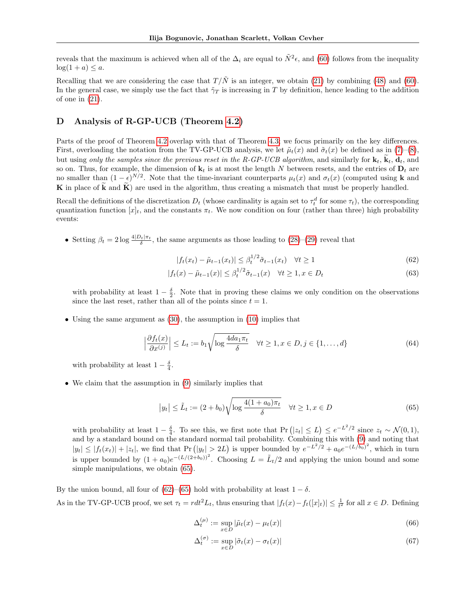reveals that the maximum is achieved when all of the  $\Delta_i$  are equal to  $\tilde{N}^2 \epsilon$ , and [\(60\)](#page-13-5) follows from the inequality  $log(1 + a) \leq a$ .

Recalling that we are considering the case that  $T/\tilde{N}$  is an integer, we obtain [\(21\)](#page-4-2) by combining [\(48\)](#page-13-6) and [\(60\)](#page-13-5). In the general case, we simply use the fact that  $\tilde{\gamma}_T$  is increasing in T by definition, hence leading to the addition of one in [\(21\)](#page-4-2).

### D Analysis of R-GP-UCB (Theorem [4.2\)](#page-4-1)

Parts of the proof of Theorem [4.2](#page-4-1) overlap with that of Theorem [4.3;](#page-4-4) we focus primarily on the key differences. First, overloading the notation from the TV-GP-UCB analysis, we let  $\tilde{\mu}_t(x)$  and  $\tilde{\sigma}_t(x)$  be defined as in [\(7\)](#page-3-0)–[\(8\)](#page-3-1), but using only the samples since the previous reset in the R-GP-UCB algorithm, and similarly for  $\mathbf{k}_t$ ,  $\mathbf{k}_t$ ,  $\mathbf{d}_t$ , and so on. Thus, for example, the dimension of  $\mathbf{k}_t$  is at most the length N between resets, and the entries of  $\mathbf{D}_t$  are no smaller than  $(1 - \epsilon)^{N/2}$ . Note that the time-invariant counterparts  $\mu_t(x)$  and  $\sigma_t(x)$  (computed using **k** and K in place of  $\hat{k}$  and  $\hat{K}$ ) are used in the algorithm, thus creating a mismatch that must be properly handled.

Recall the definitions of the discretization  $D_t$  (whose cardinality is again set to  $\tau_t^d$  for some  $\tau_t$ ), the corresponding quantization function  $[x]_t$ , and the constants  $\pi_t$ . We now condition on four (rather than three) high probability events:

• Setting  $\beta_t = 2 \log \frac{4|D_t|\pi_t}{\delta}$ , the same arguments as those leading to  $(28)-(29)$  $(28)-(29)$  reveal that

<span id="page-14-2"></span><span id="page-14-1"></span>
$$
|f_t(x_t) - \tilde{\mu}_{t-1}(x_t)| \leq \beta_t^{1/2} \tilde{\sigma}_{t-1}(x_t) \quad \forall t \geq 1
$$
\n
$$
(62)
$$

$$
|f_t(x) - \tilde{\mu}_{t-1}(x)| \le \beta_t^{1/2} \tilde{\sigma}_{t-1}(x) \quad \forall t \ge 1, x \in D_t
$$
\n
$$
(63)
$$

with probability at least  $1 - \frac{\delta}{2}$ . Note that in proving these claims we only condition on the observations since the last reset, rather than all of the points since  $t = 1$ .

• Using the same argument as [\(30\)](#page-11-1), the assumption in [\(10\)](#page-3-4) implies that

$$
\left|\frac{\partial f_t(x)}{\partial x^{(j)}}\right| \le L_t := b_1 \sqrt{\log \frac{4da_1\pi_t}{\delta}} \quad \forall t \ge 1, x \in D, j \in \{1, \dots, d\}
$$
\n(64)

with probability at least  $1 - \frac{\delta}{4}$ .

• We claim that the assumption in [\(9\)](#page-3-3) similarly implies that

<span id="page-14-0"></span>
$$
|y_t| \le \tilde{L}_t := (2 + b_0) \sqrt{\log \frac{4(1 + a_0)\pi_t}{\delta}} \quad \forall t \ge 1, x \in D
$$
\n
$$
(65)
$$

with probability at least  $1 - \frac{\delta}{4}$ . To see this, we first note that Pr  $(|z_t| \le L) \le e^{-L^2/2}$  since  $z_t \sim \mathcal{N}(0, 1)$ , and by a standard bound on the standard normal tail probability. Combining this with [\(9\)](#page-3-3) and noting that  $|y_t| \leq |f_t(x_t)| + |z_t|$ , we find that Pr  $(|y_t| > 2L)$  is upper bounded by  $e^{-L^2/2} + a_0 e^{-(L/b_0)^2}$ , which in turn is upper bounded by  $(1 + a_0)e^{-(L/(2+b_0))^2}$ . Choosing  $L = \tilde{L}_t/2$  and applying the union bound and some simple manipulations, we obtain [\(65\)](#page-14-0).

By the union bound, all four of [\(62\)](#page-14-1)–[\(65\)](#page-14-0) hold with probability at least  $1 - \delta$ . As in the TV-GP-UCB proof, we set  $\tau_t = r dt^2 L_t$ , thus ensuring that  $|f_t(x) - f_t([x]_t)| \leq \frac{1}{t^2}$  for all  $x \in D$ . Defining

<span id="page-14-3"></span>
$$
\Delta_t^{(\mu)} := \sup_{x \in D} |\tilde{\mu}_t(x) - \mu_t(x)| \tag{66}
$$

<span id="page-14-4"></span>
$$
\Delta_t^{(\sigma)} := \sup_{x \in D} |\tilde{\sigma}_t(x) - \sigma_t(x)| \tag{67}
$$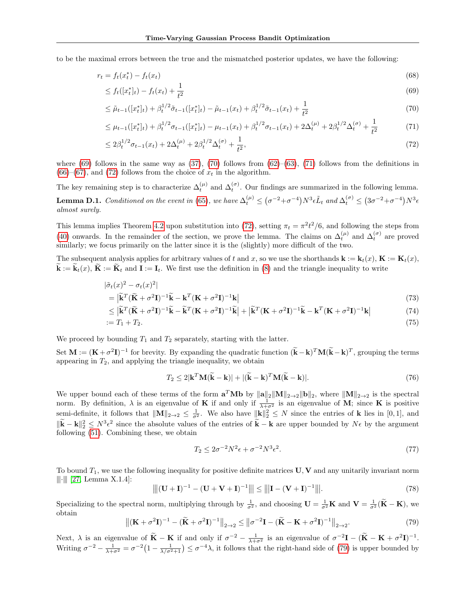to be the maximal errors between the true and the mismatched posterior updates, we have the following:

$$
r_t = f_t(x_t^*) - f_t(x_t) \tag{68}
$$

$$
\leq f_t([x_t^*]_t) - f_t(x_t) + \frac{1}{t^2} \tag{69}
$$

<span id="page-15-1"></span><span id="page-15-0"></span>
$$
\leq \tilde{\mu}_{t-1}([x_t^*]_t) + \beta_t^{1/2} \tilde{\sigma}_{t-1}([x_t^*]_t) - \tilde{\mu}_{t-1}(x_t) + \beta_t^{1/2} \tilde{\sigma}_{t-1}(x_t) + \frac{1}{t^2} \tag{70}
$$

$$
\leq \mu_{t-1}([x_t^*]_t) + \beta_t^{1/2} \sigma_{t-1}([x_t^*]_t) - \mu_{t-1}(x_t) + \beta_t^{1/2} \sigma_{t-1}(x_t) + 2\Delta_t^{(\mu)} + 2\beta_t^{1/2} \Delta_t^{(\sigma)} + \frac{1}{t^2}
$$
(71)

<span id="page-15-3"></span><span id="page-15-2"></span>
$$
\leq 2\beta_t^{1/2}\sigma_{t-1}(x_t) + 2\Delta_t^{(\mu)} + 2\beta_t^{1/2}\Delta_t^{(\sigma)} + \frac{1}{t^2},\tag{72}
$$

where [\(69\)](#page-15-0) follows in the same way as [\(37\)](#page-12-0), [\(70\)](#page-15-1) follows from [\(62\)](#page-14-1)–[\(63\)](#page-14-2), [\(71\)](#page-15-2) follows from the definitions in  $(66)$ – $(67)$ , and  $(72)$  follows from the choice of  $x_t$  in the algorithm.

The key remaining step is to characterize  $\Delta_t^{(\mu)}$  and  $\Delta_t^{(\sigma)}$ . Our findings are summarized in the following lemma. **Lemma D.1.** Conditioned on the event in [\(65\)](#page-14-0), we have  $\Delta_t^{(\mu)} \leq (\sigma^{-2}+\sigma^{-4})N^3\epsilon \tilde{L}_t$  and  $\Delta_t^{(\sigma)} \leq (3\sigma^{-2}+\sigma^{-4})N^3\epsilon$ almost surely.

This lemma implies Theorem [4.2](#page-4-1) upon substitution into [\(72\)](#page-15-3), setting  $\pi_t = \pi^2 t^2/6$ , and following the steps from [\(40\)](#page-12-9) onwards. In the remainder of the section, we prove the lemma. The claims on  $\Delta_t^{(\mu)}$  and  $\Delta_t^{(\sigma)}$  are proved similarly; we focus primarily on the latter since it is the (slightly) more difficult of the two.

The subsequent analysis applies for arbitrary values of t and x, so we use the shorthands  $\mathbf{k} := \mathbf{k}_t(x)$ ,  $\mathbf{K} := \mathbf{K}_t(x)$ ,  $\mathbf{k} := \mathbf{k}_t(x)$ ,  $\mathbf{K} := \mathbf{K}_t$  and  $\mathbf{I} := \mathbf{I}_t$ . We first use the definition in [\(8\)](#page-3-1) and the triangle inequality to write

$$
|\tilde{\sigma}_t(x)^2 - \sigma_t(x)^2|
$$
  
=  $|\tilde{\mathbf{k}}^T(\tilde{\mathbf{K}} + \sigma^2 \mathbf{I})^{-1}\tilde{\mathbf{k}} - \mathbf{k}^T(\mathbf{K} + \sigma^2 \mathbf{I})^{-1}\mathbf{k}|$  (73)

$$
= |\widetilde{\mathbf{k}}^T(\widetilde{\mathbf{K}} + \sigma^2 \mathbf{I})^{-1} \widetilde{\mathbf{k}} - \mathbf{k}^T (\mathbf{K} + \sigma^2 \mathbf{I})^{-1} \mathbf{k}|
$$
\n
$$
< |\widetilde{\mathbf{k}}^T(\widetilde{\mathbf{K}} + \sigma^2 \mathbf{I})^{-1} \widetilde{\mathbf{k}} - \widetilde{\mathbf{k}}^T (\mathbf{K} + \sigma^2 \mathbf{I})^{-1} \widetilde{\mathbf{k}}| + |\widetilde{\mathbf{k}}^T (\mathbf{K} + \sigma^2 \mathbf{I})^{-1} \widetilde{\mathbf{k}} - \mathbf{k}^T (\mathbf{K} + \sigma^2 \mathbf{I})^{-1} \mathbf{k}|
$$
\n(73)

$$
\leq |\widetilde{\mathbf{k}}^T(\widetilde{\mathbf{K}} + \sigma^2 \mathbf{I})^{-1}\widetilde{\mathbf{k}} - \widetilde{\mathbf{k}}^T(\mathbf{K} + \sigma^2 \mathbf{I})^{-1}\widetilde{\mathbf{k}}| + |\widetilde{\mathbf{k}}^T(\mathbf{K} + \sigma^2 \mathbf{I})^{-1}\widetilde{\mathbf{k}} - \mathbf{k}^T(\mathbf{K} + \sigma^2 \mathbf{I})^{-1}\mathbf{k}| \tag{74}
$$

$$
:= T_1 + T_2. \tag{75}
$$

We proceed by bounding  $T_1$  and  $T_2$  separately, starting with the latter.

Set  $\mathbf{M} := (\mathbf{K} + \sigma^2 \mathbf{I})^{-1}$  for brevity. By expanding the quadratic function  $(\mathbf{\tilde{k}} - \mathbf{k})^T \mathbf{M} (\mathbf{\tilde{k}} - \mathbf{k})^T$ , grouping the terms appearing in  $T_2$ , and applying the triangle inequality, we obtain

<span id="page-15-6"></span>
$$
T_2 \le 2|\mathbf{k}^T \mathbf{M}(\widetilde{\mathbf{k}} - \mathbf{k})| + |(\widetilde{\mathbf{k}} - \mathbf{k})^T \mathbf{M}(\widetilde{\mathbf{k}} - \mathbf{k})|.
$$
 (76)

We upper bound each of these terms of the form  $\mathbf{a}^T \mathbf{M} \mathbf{b}$  by  $\|\mathbf{a}\|_2 \|\mathbf{M}\|_{2\to 2} \|\mathbf{b}\|_2$ , where  $\|\mathbf{M}\|_{2\to 2}$  is the spectral norm. By definition,  $\lambda$  is an eigenvalue of **K** if and only if  $\frac{1}{\lambda+\sigma^2}$  is an eigenvalue of **M**; since **K** is positive semi-definite, it follows that  $||\mathbf{M}||_{2\to 2} \leq \frac{1}{\sigma^2}$ . We also have  $||\mathbf{k}||_2^2 \leq N$  since the entries of **k** lies in [0, 1], and  $\|\tilde{\mathbf{k}} - \mathbf{k}\|^2_2 \leq N^3 \epsilon^2$  since the absolute values of the entries of  $\tilde{\mathbf{k}} - \mathbf{k}$  are upper bounded by  $N \epsilon$  by the argument following [\(51\)](#page-13-7). Combining these, we obtain

<span id="page-15-5"></span>
$$
T_2 \le 2\sigma^{-2}N^2\epsilon + \sigma^{-2}N^3\epsilon^2. \tag{77}
$$

To bound  $T_1$ , we use the following inequality for positive definite matrices  $\mathbf{U}, \mathbf{V}$  and any unitarily invariant norm  $|||\cdot|||$  [\[27,](#page-9-2) Lemma X.1.4]:

$$
\| |(\mathbf{U} + \mathbf{I})^{-1} - (\mathbf{U} + \mathbf{V} + \mathbf{I})^{-1} \| | \le \| |\mathbf{I} - (\mathbf{V} + \mathbf{I})^{-1} \| |.
$$
 (78)

<span id="page-15-4"></span>Specializing to the spectral norm, multiplying through by  $\frac{1}{\sigma^2}$ , and choosing  $\mathbf{U} = \frac{1}{\sigma^2} \mathbf{K}$  and  $\mathbf{V} = \frac{1}{\sigma^2} (\widetilde{\mathbf{K}} - \mathbf{K})$ , we obtain

$$
\left\| \left( \mathbf{K} + \sigma^2 \mathbf{I} \right)^{-1} - \left( \widetilde{\mathbf{K}} + \sigma^2 \mathbf{I} \right)^{-1} \right\|_{2 \to 2} \le \left\| \sigma^{-2} \mathbf{I} - \left( \widetilde{\mathbf{K}} - \mathbf{K} + \sigma^2 \mathbf{I} \right)^{-1} \right\|_{2 \to 2}.
$$
 (79)

Next,  $\lambda$  is an eigenvalue of  $\tilde{\mathbf{K}} - \mathbf{K}$  if and only if  $\sigma^{-2} - \frac{1}{\lambda + \sigma^2}$  is an eigenvalue of  $\sigma^{-2}\mathbf{I} - (\tilde{\mathbf{K}} - \mathbf{K} + \sigma^2\mathbf{I})^{-1}$ . Writing  $\sigma^{-2} - \frac{1}{\lambda + \sigma^2} = \sigma^{-2} \left( 1 - \frac{1}{\lambda/\sigma^2 + 1} \right) \leq \sigma^{-4} \lambda$ , it follows that the right-hand side of [\(79\)](#page-15-4) is upper bounded by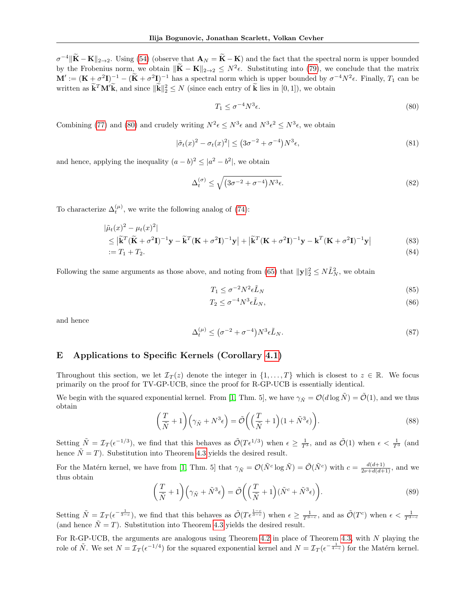$\sigma^{-4}$  $\|\tilde{\mathbf{K}} - \mathbf{K}\|_{2\to 2}$ . Using [\(54\)](#page-13-2) (observe that  $\mathbf{A}_N = \tilde{\mathbf{K}} - \mathbf{K}$ ) and the fact that the spectral norm is upper bounded by the Frobenius norm, we obtain  $\|\tilde{\mathbf{K}} - \mathbf{K}\|_{2 \to 2} \leq N^2 \epsilon$ . Substituting into [\(79\)](#page-15-4), we conclude that the matrix  $\mathbf{M}' := (\mathbf{K} + \sigma^2 \mathbf{I})^{-1} - (\widetilde{\mathbf{K}} + \sigma^2 \mathbf{I})^{-1}$  has a spectral norm which is upper bounded by  $\sigma^{-4} N^2 \epsilon$ . Finally,  $T_1$  can be written as  $\widetilde{\mathbf{k}}^T \mathbf{M}' \widetilde{\mathbf{k}}$ , and since  $\|\widetilde{\mathbf{k}}\|_2^2 \leq N$  (since each entry of  $\widetilde{\mathbf{k}}$  lies in [0, 1]), we obtain

<span id="page-16-0"></span>
$$
T_1 \le \sigma^{-4} N^3 \epsilon. \tag{80}
$$

Combining [\(77\)](#page-15-5) and [\(80\)](#page-16-0) and crudely writing  $N^2 \epsilon \leq N^3 \epsilon$  and  $N^3 \epsilon^2 \leq N^3 \epsilon$ , we obtain

$$
|\tilde{\sigma}_t(x)^2 - \sigma_t(x)^2| \le (3\sigma^{-2} + \sigma^{-4})N^3\epsilon,
$$
\n
$$
(81)
$$

and hence, applying the inequality  $(a - b)^2 \leq |a^2 - b^2|$ , we obtain

$$
\Delta_t^{(\sigma)} \le \sqrt{\left(3\sigma^{-2} + \sigma^{-4}\right)N^3\epsilon}.\tag{82}
$$

To characterize  $\Delta_t^{(\mu)}$ , we write the following analog of [\(74\)](#page-15-6):

$$
|\tilde{\mu}_t(x)|^2 - \mu_t(x)^2|
$$
  
\n
$$
\leq |\tilde{\mathbf{k}}^T(\tilde{\mathbf{K}} + \sigma^2 \mathbf{I})^{-1} \mathbf{y} - \tilde{\mathbf{k}}^T(\mathbf{K} + \sigma^2 \mathbf{I})^{-1} \mathbf{y}| + |\tilde{\mathbf{k}}^T(\mathbf{K} + \sigma^2 \mathbf{I})^{-1} \mathbf{y} - \mathbf{k}^T(\mathbf{K} + \sigma^2 \mathbf{I})^{-1} \mathbf{y}|
$$
\n(83)  
\n:= T\_1 + T\_2.

Following the same arguments as those above, and noting from [\(65\)](#page-14-0) that  $\|\mathbf{y}\|_2^2 \le N\tilde{L}_N^2$ , we obtain

$$
T_1 \le \sigma^{-2} N^2 \epsilon \tilde{L}_N \tag{85}
$$

$$
T_2 \le \sigma^{-4} N^3 \epsilon \tilde{L}_N,\tag{86}
$$

and hence

$$
\Delta_t^{(\mu)} \le (\sigma^{-2} + \sigma^{-4}) N^3 \epsilon \tilde{L}_N. \tag{87}
$$

# E Applications to Specific Kernels (Corollary [4.1\)](#page-5-1)

Throughout this section, we let  $\mathcal{I}_T(z)$  denote the integer in  $\{1,\ldots,T\}$  which is closest to  $z \in \mathbb{R}$ . We focus primarily on the proof for TV-GP-UCB, since the proof for R-GP-UCB is essentially identical.

We begin with the squared exponential kernel. From [\[1,](#page-8-0) Thm. 5], we have  $\gamma_{\tilde{N}} = \mathcal{O}(d \log \tilde{N}) = \tilde{\mathcal{O}}(1)$ , and we thus obtain

$$
\left(\frac{T}{\tilde{N}}+1\right)\left(\gamma_{\tilde{N}}+N^3\epsilon\right) = \tilde{\mathcal{O}}\left(\left(\frac{T}{\tilde{N}}+1\right)(1+\tilde{N}^3\epsilon)\right). \tag{88}
$$

Setting  $\tilde{N} = \mathcal{I}_T(\epsilon^{-1/3})$ , we find that this behaves as  $\tilde{\mathcal{O}}(T\epsilon^{1/3})$  when  $\epsilon \ge \frac{1}{T^3}$ , and as  $\tilde{\mathcal{O}}(1)$  when  $\epsilon < \frac{1}{T^3}$  (and hence  $\tilde{N} = T$ . Substitution into Theorem [4.3](#page-4-4) yields the desired result.

For the Matérn kernel, we have from [\[1,](#page-8-0) Thm. 5] that  $\gamma_{\tilde{N}} = \mathcal{O}(\tilde{N}^c \log \tilde{N}) = \tilde{\mathcal{O}}(\tilde{N}^c)$  with  $c = \frac{d(d+1)}{2\nu + d(d+1)}$ , and we thus obtain

$$
\left(\frac{T}{\tilde{N}}+1\right)\left(\gamma_{\tilde{N}}+\tilde{N}^3\epsilon\right) = \tilde{\mathcal{O}}\left(\left(\frac{T}{\tilde{N}}+1\right)(\tilde{N}^c+\tilde{N}^3\epsilon)\right). \tag{89}
$$

Setting  $\tilde{N} = \mathcal{I}_T(\epsilon^{-\frac{1}{3-c}})$ , we find that this behaves as  $\tilde{\mathcal{O}}(T\epsilon^{\frac{1-c}{3-c}})$  when  $\epsilon \ge \frac{1}{T^{3-c}}$ , and as  $\tilde{\mathcal{O}}(T^c)$  when  $\epsilon < \frac{1}{T^{3-c}}$ (and hence  $\tilde{N} = T$ ). Substitution into Theorem [4.3](#page-4-4) yields the desired result.

For R-GP-UCB, the arguments are analogous using Theorem [4.2](#page-4-1) in place of Theorem [4.3,](#page-4-4) with  $N$  playing the role of  $\tilde{N}$ . We set  $N = \mathcal{I}_T(\epsilon^{-1/4})$  for the squared exponential kernel and  $N = \mathcal{I}_T(\epsilon^{-\frac{1}{4-c}})$  for the Matérn kernel.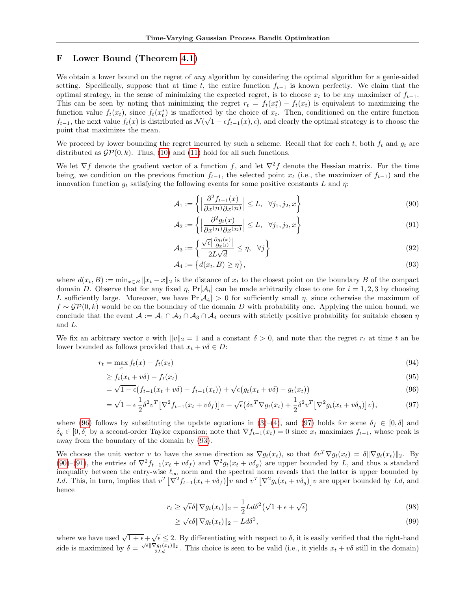## F Lower Bound (Theorem [4.1\)](#page-4-0)

We obtain a lower bound on the regret of *any* algorithm by considering the optimal algorithm for a genie-aided setting. Specifically, suppose that at time t, the entire function  $f_{t-1}$  is known perfectly. We claim that the optimal strategy, in the sense of minimizing the expected regret, is to choose  $x_t$  to be any maximizer of  $f_{t-1}$ . This can be seen by noting that minimizing the regret  $r_t = f_t(x_t^*) - f_t(x_t)$  is equivalent to maximizing the function value  $f_t(x_t)$ , since  $f_t(x_t^*)$  is unaffected by the choice of  $x_t$ . Then, conditioned on the entire function  $f_{t-1}$ , the next value  $f_t(x)$  is distributed as  $\mathcal{N}(\sqrt{1-t}f_{t-1}(x), \epsilon)$ , and clearly the optimal strategy is to choose the point that maximizes the mean.

We proceed by lower bounding the regret incurred by such a scheme. Recall that for each t, both  $f_t$  and  $g_t$  are distributed as  $\mathcal{GP}(0, k)$ . Thus, [\(10\)](#page-3-4) and [\(11\)](#page-3-5) hold for all such functions.

We let  $\nabla f$  denote the gradient vector of a function f, and let  $\nabla^2 f$  denote the Hessian matrix. For the time being, we condition on the previous function  $f_{t-1}$ , the selected point  $x_t$  (i.e., the maximizer of  $f_{t-1}$ ) and the innovation function  $g_t$  satisfying the following events for some positive constants L and  $\eta$ :

<span id="page-17-3"></span>
$$
\mathcal{A}_1 := \left\{ \left| \frac{\partial^2 f_{t-1}(x)}{\partial x^{(j_1)} \partial x^{(j_2)}} \right| \le L, \quad \forall j_1, j_2, x \right\} \tag{90}
$$

$$
\mathcal{A}_2 := \left\{ \left| \frac{\partial^2 g_t(x)}{\partial x^{(j_1)} \partial x^{(j_2)}} \right| \le L, \quad \forall j_1, j_2, x \right\} \tag{91}
$$

<span id="page-17-5"></span><span id="page-17-4"></span>
$$
\mathcal{A}_3 := \left\{ \frac{\sqrt{\epsilon} \left| \frac{\partial g_t(x)}{\partial x^{(j)}} \right|}{2L\sqrt{d}} \le \eta, \quad \forall j \right\} \tag{92}
$$

<span id="page-17-2"></span><span id="page-17-0"></span>
$$
\mathcal{A}_4 := \{d(x_t, B) \ge \eta\},\tag{93}
$$

where  $d(x_t, B) := \min_{x \in B} ||x_t - x||_2$  is the distance of  $x_t$  to the closest point on the boundary B of the compact domain D. Observe that for any fixed  $\eta$ ,  $Pr[\mathcal{A}_i]$  can be made arbitrarily close to one for  $i = 1, 2, 3$  by choosing L sufficiently large. Moreover, we have  $Pr[\mathcal{A}_4] > 0$  for sufficiently small  $\eta$ , since otherwise the maximum of  $f \sim \mathcal{GP}(0, k)$  would be on the boundary of the domain D with probability one. Applying the union bound, we conclude that the event  $A := A_1 \cap A_2 \cap A_3 \cap A_4$  occurs with strictly positive probability for suitable chosen  $\eta$ and L.

We fix an arbitrary vector v with  $||v||_2 = 1$  and a constant  $\delta > 0$ , and note that the regret  $r_t$  at time t an be lower bounded as follows provided that  $x_t + v\delta \in D$ :

$$
r_t = \max_x f_t(x) - f_t(x_t) \tag{94}
$$

$$
\geq f_t(x_t + v\delta) - f_t(x_t) \tag{95}
$$

$$
= \sqrt{1 - \epsilon} \big(f_{t-1}(x_t + v\delta) - f_{t-1}(x_t)\big) + \sqrt{\epsilon} \big(g_t(x_t + v\delta) - g_t(x_t)\big) \tag{96}
$$

$$
= \sqrt{1 - \epsilon} \frac{1}{2} \delta^2 v^T \left[ \nabla^2 f_{t-1} (x_t + v \delta_f) \right] v + \sqrt{\epsilon} \left( \delta v^T \nabla g_t (x_t) + \frac{1}{2} \delta^2 v^T \left[ \nabla^2 g_t (x_t + v \delta_g) \right] v \right), \tag{97}
$$

where [\(96\)](#page-17-0) follows by substituting the update equations in [\(3\)](#page-1-1)–[\(4\)](#page-1-2), and [\(97\)](#page-17-1) holds for some  $\delta_f \in [0, \delta]$  and  $\delta_q \in [0,\delta]$  by a second-order Taylor expansion; note that  $\nabla f_{t-1}(x_t) = 0$  since  $x_t$  maximizes  $f_{t-1}$ , whose peak is away from the boundary of the domain by [\(93\)](#page-17-2).

We choose the unit vector v to have the same direction as  $\nabla g_t(x_t)$ , so that  $\delta v^T \nabla g_t(x_t) = \delta ||\nabla g_t(x_t)||_2$ . By [\(90\)](#page-17-3)–[\(91\)](#page-17-4), the entries of  $\nabla^2 f_{t-1}(x_t + v\delta_f)$  and  $\nabla^2 g_t(x_t + v\delta_g)$  are upper bounded by L, and thus a standard inequality between the entry-wise  $\ell_{\infty}$  norm and the spectral norm reveals that the latter is upper bounded by Ld. This, in turn, implies that  $v^T [\nabla^2 f_{t-1}(x_t + v \delta_f)] v$  and  $v^T [\nabla^2 g_t(x_t + v \delta_g)] v$  are upper bounded by Ld, and hence

<span id="page-17-1"></span>
$$
r_t \ge \sqrt{\epsilon}\delta \|\nabla g_t(x_t)\|_2 - \frac{1}{2}L d\delta^2 \left(\sqrt{1+\epsilon} + \sqrt{\epsilon}\right)
$$
\n(98)

$$
\geq \sqrt{\epsilon}\delta \|\nabla g_t(x_t)\|_2 - L d \delta^2,\tag{99}
$$

where we have used  $\sqrt{1+\epsilon}+\sqrt{\epsilon} \leq 2$ . By differentiating with respect to  $\delta$ , it is easily verified that the right-hand where we have used  $\sqrt{1 + c} \sqrt{\frac{C}{2L}}$ . By untertaining with respect to b, it is easily verticed that the right hand side is maximized by  $\delta = \frac{\sqrt{\epsilon} ||\nabla g_t(x_t)||_2}{2Ld}$ . This choice is seen to be valid (i.e., it yields  $x_t$